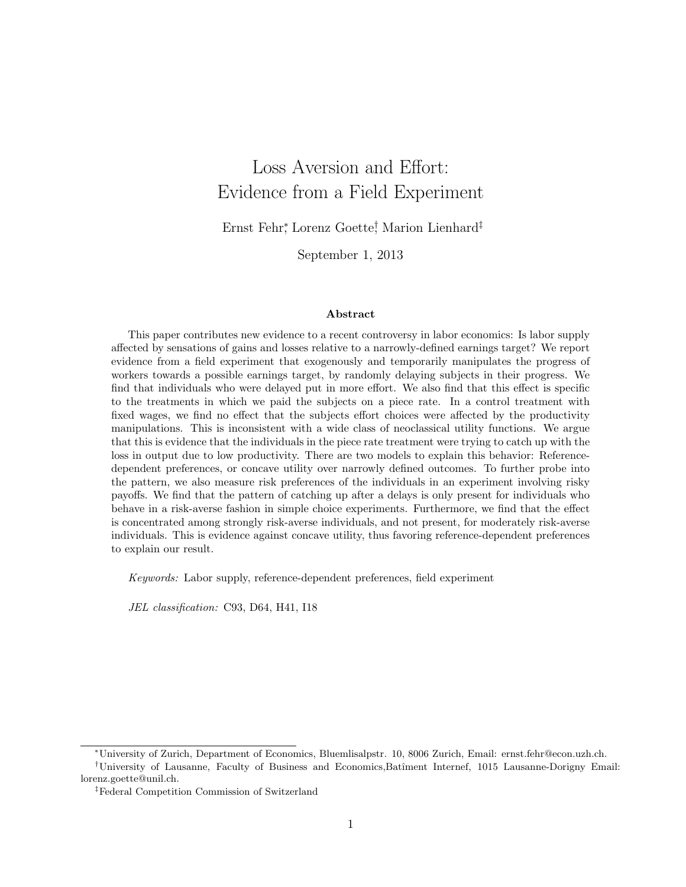# Loss Aversion and Effort: Evidence from a Field Experiment

Ernst Fehr<sup>∗</sup> , Lorenz Goette† , Marion Lienhard‡

September 1, 2013

# Abstract

This paper contributes new evidence to a recent controversy in labor economics: Is labor supply affected by sensations of gains and losses relative to a narrowly-defined earnings target? We report evidence from a field experiment that exogenously and temporarily manipulates the progress of workers towards a possible earnings target, by randomly delaying subjects in their progress. We find that individuals who were delayed put in more effort. We also find that this effect is specific to the treatments in which we paid the subjects on a piece rate. In a control treatment with fixed wages, we find no effect that the subjects effort choices were affected by the productivity manipulations. This is inconsistent with a wide class of neoclassical utility functions. We argue that this is evidence that the individuals in the piece rate treatment were trying to catch up with the loss in output due to low productivity. There are two models to explain this behavior: Referencedependent preferences, or concave utility over narrowly defined outcomes. To further probe into the pattern, we also measure risk preferences of the individuals in an experiment involving risky payoffs. We find that the pattern of catching up after a delays is only present for individuals who behave in a risk-averse fashion in simple choice experiments. Furthermore, we find that the effect is concentrated among strongly risk-averse individuals, and not present, for moderately risk-averse individuals. This is evidence against concave utility, thus favoring reference-dependent preferences to explain our result.

Keywords: Labor supply, reference-dependent preferences, field experiment

JEL classification: C93, D64, H41, I18

<sup>∗</sup>University of Zurich, Department of Economics, Bluemlisalpstr. 10, 8006 Zurich, Email: ernst.fehr@econ.uzh.ch.

<sup>&</sup>lt;sup>†</sup>University of Lausanne, Faculty of Business and Economics,Batîment Internef, 1015 Lausanne-Dorigny Email: lorenz.goette@unil.ch.

<sup>‡</sup>Federal Competition Commission of Switzerland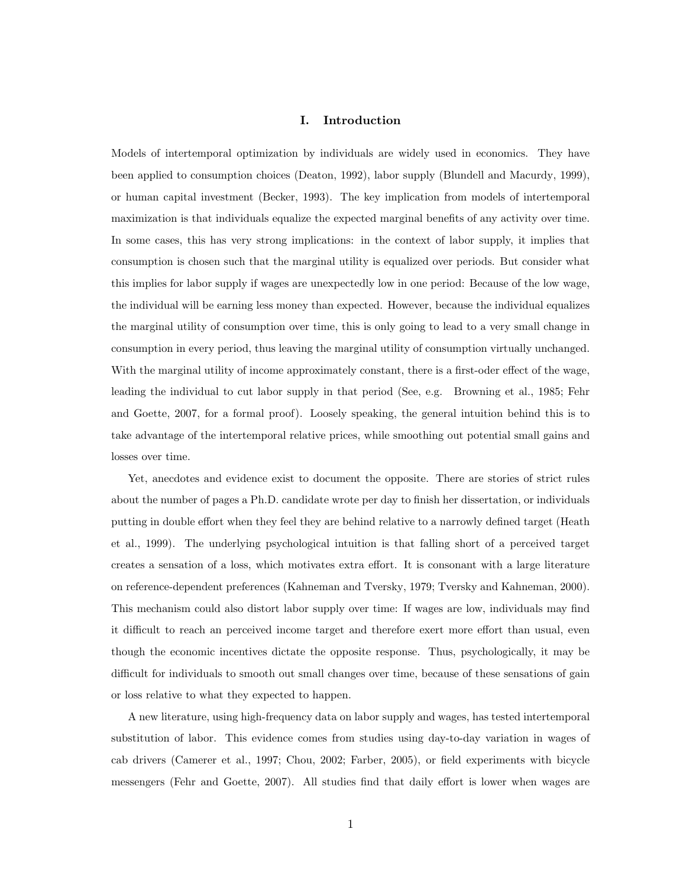#### I. Introduction

Models of intertemporal optimization by individuals are widely used in economics. They have been applied to consumption choices [\(Deaton,](#page-15-0) [1992\)](#page-15-0), labor supply [\(Blundell and Macurdy,](#page-15-1) [1999\)](#page-15-1), or human capital investment [\(Becker,](#page-15-2) [1993\)](#page-15-2). The key implication from models of intertemporal maximization is that individuals equalize the expected marginal benefits of any activity over time. In some cases, this has very strong implications: in the context of labor supply, it implies that consumption is chosen such that the marginal utility is equalized over periods. But consider what this implies for labor supply if wages are unexpectedly low in one period: Because of the low wage, the individual will be earning less money than expected. However, because the individual equalizes the marginal utility of consumption over time, this is only going to lead to a very small change in consumption in every period, thus leaving the marginal utility of consumption virtually unchanged. With the marginal utility of income approximately constant, there is a first-oder effect of the wage, leading the individual to cut labor supply in that period (See, e.g. [Browning et al.,](#page-15-3) [1985;](#page-15-3) [Fehr](#page-15-4) [and Goette,](#page-15-4) [2007,](#page-15-4) for a formal proof). Loosely speaking, the general intuition behind this is to take advantage of the intertemporal relative prices, while smoothing out potential small gains and losses over time.

Yet, anecdotes and evidence exist to document the opposite. There are stories of strict rules about the number of pages a Ph.D. candidate wrote per day to finish her dissertation, or individuals putting in double effort when they feel they are behind relative to a narrowly defined target [\(Heath](#page-16-0) [et al.,](#page-16-0) [1999\)](#page-16-0). The underlying psychological intuition is that falling short of a perceived target creates a sensation of a loss, which motivates extra effort. It is consonant with a large literature on reference-dependent preferences [\(Kahneman and Tversky,](#page-16-1) [1979;](#page-16-1) [Tversky and Kahneman,](#page-16-2) [2000\)](#page-16-2). This mechanism could also distort labor supply over time: If wages are low, individuals may find it difficult to reach an perceived income target and therefore exert more effort than usual, even though the economic incentives dictate the opposite response. Thus, psychologically, it may be difficult for individuals to smooth out small changes over time, because of these sensations of gain or loss relative to what they expected to happen.

A new literature, using high-frequency data on labor supply and wages, has tested intertemporal substitution of labor. This evidence comes from studies using day-to-day variation in wages of cab drivers [\(Camerer et al.,](#page-15-5) [1997;](#page-15-5) [Chou,](#page-15-6) [2002;](#page-15-6) [Farber,](#page-15-7) [2005\)](#page-15-7), or field experiments with bicycle messengers [\(Fehr and Goette,](#page-15-4) [2007\)](#page-15-4). All studies find that daily effort is lower when wages are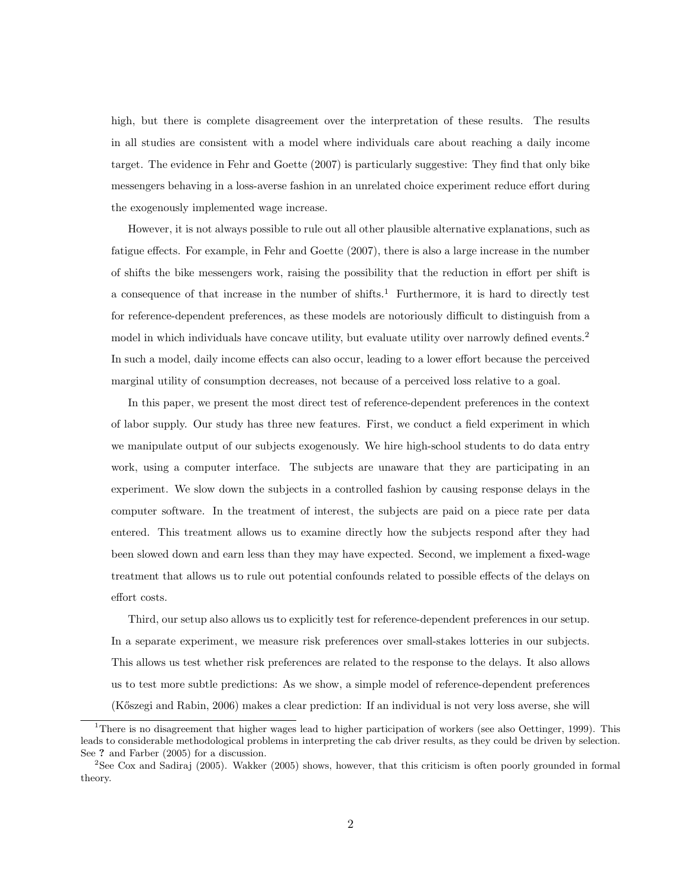high, but there is complete disagreement over the interpretation of these results. The results in all studies are consistent with a model where individuals care about reaching a daily income target. The evidence in [Fehr and Goette](#page-15-4) [\(2007\)](#page-15-4) is particularly suggestive: They find that only bike messengers behaving in a loss-averse fashion in an unrelated choice experiment reduce effort during the exogenously implemented wage increase.

However, it is not always possible to rule out all other plausible alternative explanations, such as fatigue effects. For example, in [Fehr and Goette](#page-15-4) [\(2007\)](#page-15-4), there is also a large increase in the number of shifts the bike messengers work, raising the possibility that the reduction in effort per shift is a consequence of that increase in the number of shifts.<sup>[1](#page-2-0)</sup> Furthermore, it is hard to directly test for reference-dependent preferences, as these models are notoriously difficult to distinguish from a model in which individuals have concave utility, but evaluate utility over narrowly defined events.[2](#page-2-1) In such a model, daily income effects can also occur, leading to a lower effort because the perceived marginal utility of consumption decreases, not because of a perceived loss relative to a goal.

In this paper, we present the most direct test of reference-dependent preferences in the context of labor supply. Our study has three new features. First, we conduct a field experiment in which we manipulate output of our subjects exogenously. We hire high-school students to do data entry work, using a computer interface. The subjects are unaware that they are participating in an experiment. We slow down the subjects in a controlled fashion by causing response delays in the computer software. In the treatment of interest, the subjects are paid on a piece rate per data entered. This treatment allows us to examine directly how the subjects respond after they had been slowed down and earn less than they may have expected. Second, we implement a fixed-wage treatment that allows us to rule out potential confounds related to possible effects of the delays on effort costs.

Third, our setup also allows us to explicitly test for reference-dependent preferences in our setup. In a separate experiment, we measure risk preferences over small-stakes lotteries in our subjects. This allows us test whether risk preferences are related to the response to the delays. It also allows us to test more subtle predictions: As we show, a simple model of reference-dependent preferences [\(K˝oszegi and Rabin,](#page-16-3) [2006\)](#page-16-3) makes a clear prediction: If an individual is not very loss averse, she will

<span id="page-2-0"></span><sup>&</sup>lt;sup>1</sup>There is no disagreement that higher wages lead to higher participation of workers (see also [Oettinger,](#page-16-4) [1999\)](#page-16-4). This leads to considerable methodological problems in interpreting the cab driver results, as they could be driven by selection. See ? and [Farber](#page-15-7) [\(2005\)](#page-15-7) for a discussion.

<span id="page-2-1"></span><sup>2</sup>See [Cox and Sadiraj](#page-15-8) [\(2005\)](#page-15-8). [Wakker](#page-16-5) [\(2005\)](#page-16-5) shows, however, that this criticism is often poorly grounded in formal theory.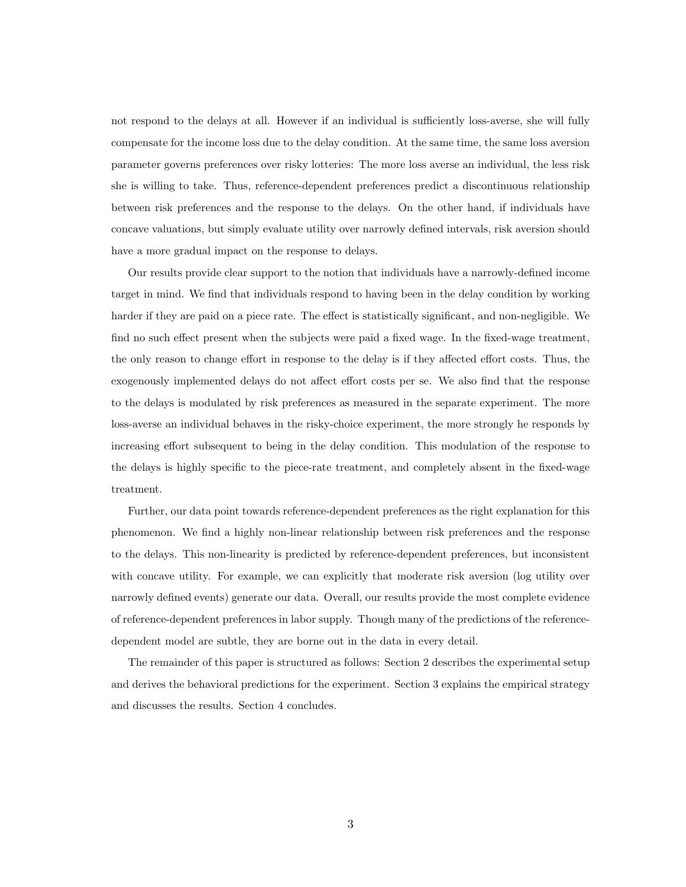not respond to the delays at all. However if an individual is sufficiently loss-averse, she will fully compensate for the income loss due to the delay condition. At the same time, the same loss aversion parameter governs preferences over risky lotteries: The more loss averse an individual, the less risk she is willing to take. Thus, reference-dependent preferences predict a discontinuous relationship between risk preferences and the response to the delays. On the other hand, if individuals have concave valuations, but simply evaluate utility over narrowly defined intervals, risk aversion should have a more gradual impact on the response to delays.

Our results provide clear support to the notion that individuals have a narrowly-defined income target in mind. We find that individuals respond to having been in the delay condition by working harder if they are paid on a piece rate. The effect is statistically significant, and non-negligible. We find no such effect present when the subjects were paid a fixed wage. In the fixed-wage treatment, the only reason to change effort in response to the delay is if they affected effort costs. Thus, the exogenously implemented delays do not affect effort costs per se. We also find that the response to the delays is modulated by risk preferences as measured in the separate experiment. The more loss-averse an individual behaves in the risky-choice experiment, the more strongly he responds by increasing effort subsequent to being in the delay condition. This modulation of the response to the delays is highly specific to the piece-rate treatment, and completely absent in the fixed-wage treatment.

Further, our data point towards reference-dependent preferences as the right explanation for this phenomenon. We find a highly non-linear relationship between risk preferences and the response to the delays. This non-linearity is predicted by reference-dependent preferences, but inconsistent with concave utility. For example, we can explicitly that moderate risk aversion (log utility over narrowly defined events) generate our data. Overall, our results provide the most complete evidence of reference-dependent preferences in labor supply. Though many of the predictions of the referencedependent model are subtle, they are borne out in the data in every detail.

The remainder of this paper is structured as follows: Section 2 describes the experimental setup and derives the behavioral predictions for the experiment. Section 3 explains the empirical strategy and discusses the results. Section 4 concludes.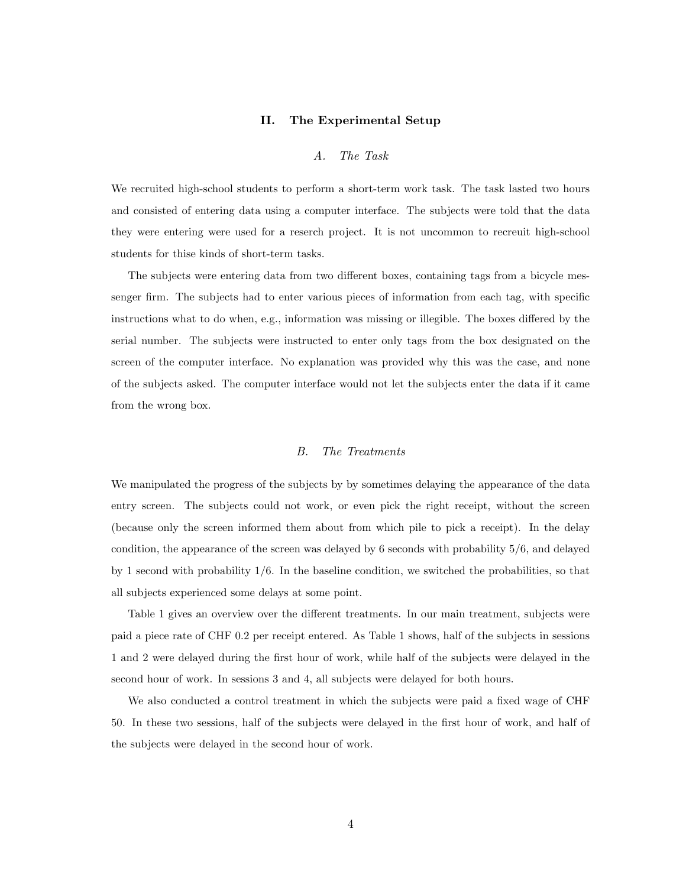#### II. The Experimental Setup

# A. The Task

We recruited high-school students to perform a short-term work task. The task lasted two hours and consisted of entering data using a computer interface. The subjects were told that the data they were entering were used for a reserch project. It is not uncommon to recreuit high-school students for thise kinds of short-term tasks.

The subjects were entering data from two different boxes, containing tags from a bicycle messenger firm. The subjects had to enter various pieces of information from each tag, with specific instructions what to do when, e.g., information was missing or illegible. The boxes differed by the serial number. The subjects were instructed to enter only tags from the box designated on the screen of the computer interface. No explanation was provided why this was the case, and none of the subjects asked. The computer interface would not let the subjects enter the data if it came from the wrong box.

# B. The Treatments

We manipulated the progress of the subjects by by sometimes delaying the appearance of the data entry screen. The subjects could not work, or even pick the right receipt, without the screen (because only the screen informed them about from which pile to pick a receipt). In the delay condition, the appearance of the screen was delayed by 6 seconds with probability 5/6, and delayed by 1 second with probability 1/6. In the baseline condition, we switched the probabilities, so that all subjects experienced some delays at some point.

Table [1](#page-24-0) gives an overview over the different treatments. In our main treatment, subjects were paid a piece rate of CHF 0.2 per receipt entered. As Table [1](#page-24-0) shows, half of the subjects in sessions 1 and 2 were delayed during the first hour of work, while half of the subjects were delayed in the second hour of work. In sessions 3 and 4, all subjects were delayed for both hours.

We also conducted a control treatment in which the subjects were paid a fixed wage of CHF 50. In these two sessions, half of the subjects were delayed in the first hour of work, and half of the subjects were delayed in the second hour of work.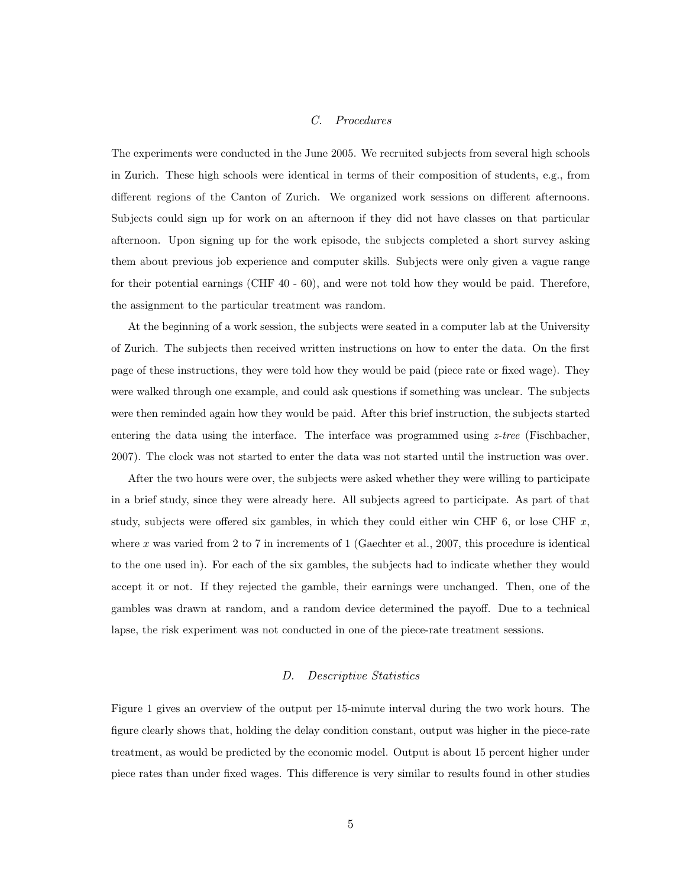# C. Procedures

<span id="page-5-0"></span>The experiments were conducted in the June 2005. We recruited subjects from several high schools in Zurich. These high schools were identical in terms of their composition of students, e.g., from different regions of the Canton of Zurich. We organized work sessions on different afternoons. Subjects could sign up for work on an afternoon if they did not have classes on that particular afternoon. Upon signing up for the work episode, the subjects completed a short survey asking them about previous job experience and computer skills. Subjects were only given a vague range for their potential earnings (CHF 40 - 60), and were not told how they would be paid. Therefore, the assignment to the particular treatment was random.

At the beginning of a work session, the subjects were seated in a computer lab at the University of Zurich. The subjects then received written instructions on how to enter the data. On the first page of these instructions, they were told how they would be paid (piece rate or fixed wage). They were walked through one example, and could ask questions if something was unclear. The subjects were then reminded again how they would be paid. After this brief instruction, the subjects started entering the data using the interface. The interface was programmed using  $z$ -tree [\(Fischbacher,](#page-15-9) [2007\)](#page-15-9). The clock was not started to enter the data was not started until the instruction was over.

After the two hours were over, the subjects were asked whether they were willing to participate in a brief study, since they were already here. All subjects agreed to participate. As part of that study, subjects were offered six gambles, in which they could either win CHF 6, or lose CHF  $x$ , where x was varied from 2 to 7 in increments of 1 [\(Gaechter et al.,](#page-16-6) [2007,](#page-16-6) this procedure is identical to the one used in). For each of the six gambles, the subjects had to indicate whether they would accept it or not. If they rejected the gamble, their earnings were unchanged. Then, one of the gambles was drawn at random, and a random device determined the payoff. Due to a technical lapse, the risk experiment was not conducted in one of the piece-rate treatment sessions.

## D. Descriptive Statistics

Figure [1](#page-23-0) gives an overview of the output per 15-minute interval during the two work hours. The figure clearly shows that, holding the delay condition constant, output was higher in the piece-rate treatment, as would be predicted by the economic model. Output is about 15 percent higher under piece rates than under fixed wages. This difference is very similar to results found in other studies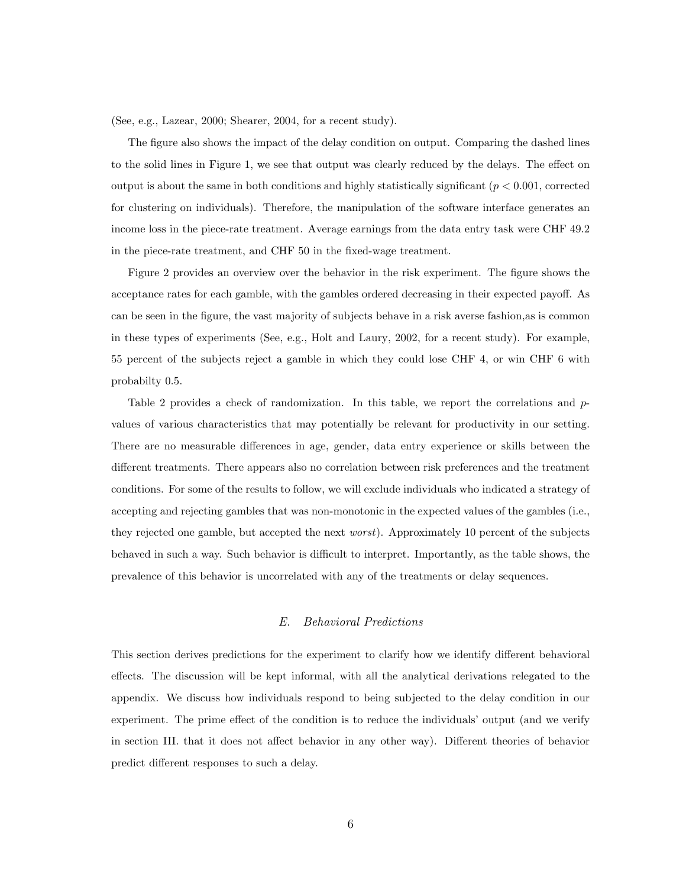(See, e.g., [Lazear,](#page-16-7) [2000;](#page-16-7) [Shearer,](#page-16-8) [2004,](#page-16-8) for a recent study).

The figure also shows the impact of the delay condition on output. Comparing the dashed lines to the solid lines in Figure [1,](#page-23-0) we see that output was clearly reduced by the delays. The effect on output is about the same in both conditions and highly statistically significant ( $p < 0.001$ , corrected for clustering on individuals). Therefore, the manipulation of the software interface generates an income loss in the piece-rate treatment. Average earnings from the data entry task were CHF 49.2 in the piece-rate treatment, and CHF 50 in the fixed-wage treatment.

Figure [2](#page-24-1) provides an overview over the behavior in the risk experiment. The figure shows the acceptance rates for each gamble, with the gambles ordered decreasing in their expected payoff. As can be seen in the figure, the vast majority of subjects behave in a risk averse fashion,as is common in these types of experiments (See, e.g., [Holt and Laury,](#page-16-9) [2002,](#page-16-9) for a recent study). For example, 55 percent of the subjects reject a gamble in which they could lose CHF 4, or win CHF 6 with probabilty 0.5.

Table [2](#page-25-0) provides a check of randomization. In this table, we report the correlations and pvalues of various characteristics that may potentially be relevant for productivity in our setting. There are no measurable differences in age, gender, data entry experience or skills between the different treatments. There appears also no correlation between risk preferences and the treatment conditions. For some of the results to follow, we will exclude individuals who indicated a strategy of accepting and rejecting gambles that was non-monotonic in the expected values of the gambles (i.e., they rejected one gamble, but accepted the next worst). Approximately 10 percent of the subjects behaved in such a way. Such behavior is difficult to interpret. Importantly, as the table shows, the prevalence of this behavior is uncorrelated with any of the treatments or delay sequences.

## E. Behavioral Predictions

<span id="page-6-0"></span>This section derives predictions for the experiment to clarify how we identify different behavioral effects. The discussion will be kept informal, with all the analytical derivations relegated to the appendix. We discuss how individuals respond to being subjected to the delay condition in our experiment. The prime effect of the condition is to reduce the individuals' output (and we verify in section [III.](#page-9-0) that it does not affect behavior in any other way). Different theories of behavior predict different responses to such a delay.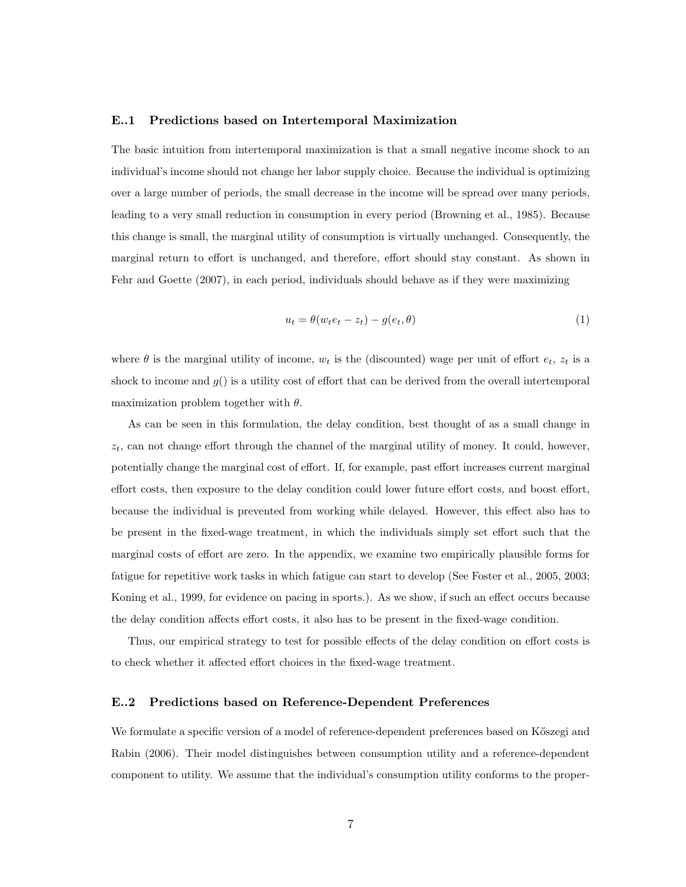#### E..1 Predictions based on Intertemporal Maximization

The basic intuition from intertemporal maximization is that a small negative income shock to an individual's income should not change her labor supply choice. Because the individual is optimizing over a large number of periods, the small decrease in the income will be spread over many periods, leading to a very small reduction in consumption in every period [\(Browning et al.,](#page-15-3) [1985\)](#page-15-3). Because this change is small, the marginal utility of consumption is virtually unchanged. Consequently, the marginal return to effort is unchanged, and therefore, effort should stay constant. As shown in [Fehr and Goette](#page-15-4) [\(2007\)](#page-15-4), in each period, individuals should behave as if they were maximizing

<span id="page-7-0"></span>
$$
u_t = \theta(w_t e_t - z_t) - g(e_t, \theta)
$$
\n<sup>(1)</sup>

where  $\theta$  is the marginal utility of income,  $w_t$  is the (discounted) wage per unit of effort  $e_t$ ,  $z_t$  is a shock to income and  $g()$  is a utility cost of effort that can be derived from the overall intertemporal maximization problem together with  $\theta$ .

As can be seen in this formulation, the delay condition, best thought of as a small change in  $z_t$ , can not change effort through the channel of the marginal utility of money. It could, however, potentially change the marginal cost of effort. If, for example, past effort increases current marginal effort costs, then exposure to the delay condition could lower future effort costs, and boost effort, because the individual is prevented from working while delayed. However, this effect also has to be present in the fixed-wage treatment, in which the individuals simply set effort such that the marginal costs of effort are zero. In the appendix, we examine two empirically plausible forms for fatigue for repetitive work tasks in which fatigue can start to develop (See [Foster et al.,](#page-15-10) [2005,](#page-15-10) [2003;](#page-16-10) [Koning et al.,](#page-16-11) [1999,](#page-16-11) for evidence on pacing in sports.). As we show, if such an effect occurs because the delay condition affects effort costs, it also has to be present in the fixed-wage condition.

Thus, our empirical strategy to test for possible effects of the delay condition on effort costs is to check whether it affected effort choices in the fixed-wage treatment.

#### E..2 Predictions based on Reference-Dependent Preferences

We formulate a specific version of a model of reference-dependent preferences based on Kőszegi and [Rabin](#page-16-3) [\(2006\)](#page-16-3). Their model distinguishes between consumption utility and a reference-dependent component to utility. We assume that the individual's consumption utility conforms to the proper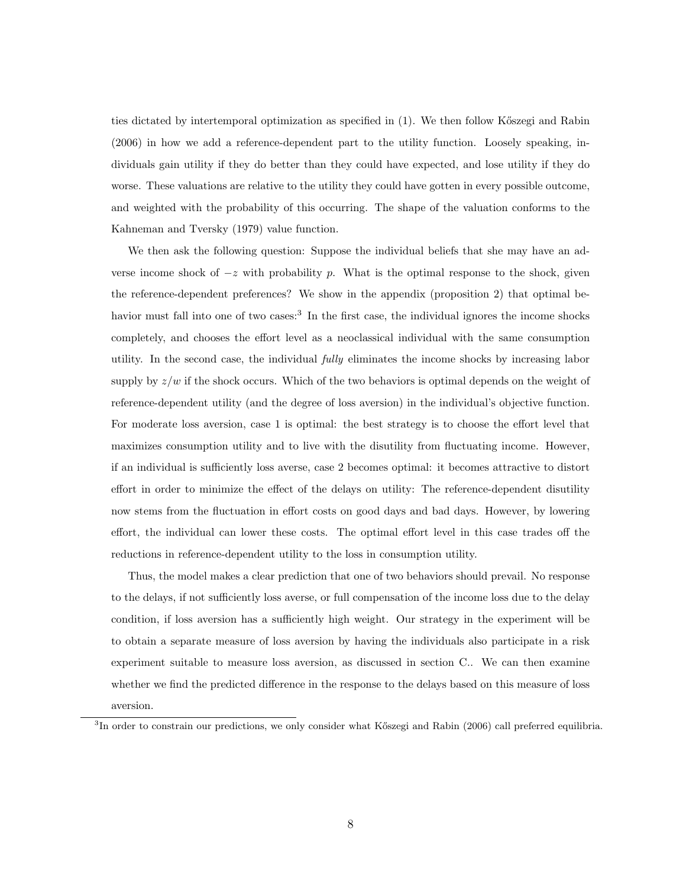ties dictated by intertemporal optimization as specified in [\(1\)](#page-7-0). We then follow Kőszegi and Rabin [\(2006\)](#page-16-3) in how we add a reference-dependent part to the utility function. Loosely speaking, individuals gain utility if they do better than they could have expected, and lose utility if they do worse. These valuations are relative to the utility they could have gotten in every possible outcome, and weighted with the probability of this occurring. The shape of the valuation conforms to the [Kahneman and Tversky](#page-16-1) [\(1979\)](#page-16-1) value function.

We then ask the following question: Suppose the individual beliefs that she may have an adverse income shock of  $-z$  with probability p. What is the optimal response to the shock, given the reference-dependent preferences? We show in the appendix (proposition [2\)](#page-17-0) that optimal be-havior must fall into one of two cases:<sup>[3](#page-8-0)</sup> In the first case, the individual ignores the income shocks completely, and chooses the effort level as a neoclassical individual with the same consumption utility. In the second case, the individual fully eliminates the income shocks by increasing labor supply by  $z/w$  if the shock occurs. Which of the two behaviors is optimal depends on the weight of reference-dependent utility (and the degree of loss aversion) in the individual's objective function. For moderate loss aversion, case 1 is optimal: the best strategy is to choose the effort level that maximizes consumption utility and to live with the disutility from fluctuating income. However, if an individual is sufficiently loss averse, case 2 becomes optimal: it becomes attractive to distort effort in order to minimize the effect of the delays on utility: The reference-dependent disutility now stems from the fluctuation in effort costs on good days and bad days. However, by lowering effort, the individual can lower these costs. The optimal effort level in this case trades off the reductions in reference-dependent utility to the loss in consumption utility.

Thus, the model makes a clear prediction that one of two behaviors should prevail. No response to the delays, if not sufficiently loss averse, or full compensation of the income loss due to the delay condition, if loss aversion has a sufficiently high weight. Our strategy in the experiment will be to obtain a separate measure of loss aversion by having the individuals also participate in a risk experiment suitable to measure loss aversion, as discussed in section [C..](#page-5-0) We can then examine whether we find the predicted difference in the response to the delays based on this measure of loss aversion.

<span id="page-8-0"></span> ${}^{3}$ In order to constrain our predictions, we only consider what Kőszegi and Rabin [\(2006\)](#page-16-3) call preferred equilibria.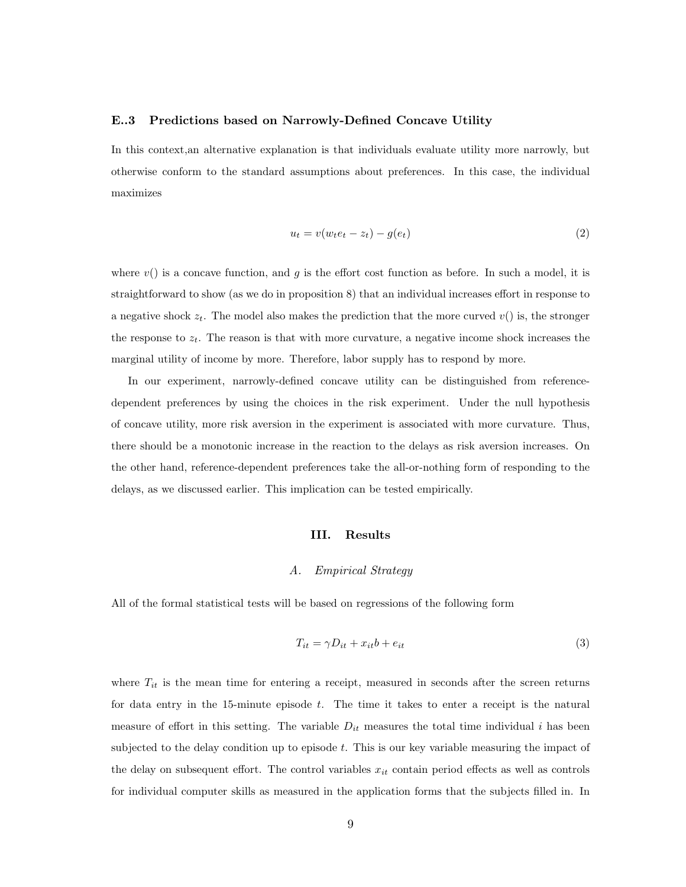#### E..3 Predictions based on Narrowly-Defined Concave Utility

In this context,an alternative explanation is that individuals evaluate utility more narrowly, but otherwise conform to the standard assumptions about preferences. In this case, the individual maximizes

$$
u_t = v(w_t e_t - z_t) - g(e_t)
$$
\n
$$
(2)
$$

where  $v()$  is a concave function, and g is the effort cost function as before. In such a model, it is straightforward to show (as we do in proposition [8\)](#page-22-0) that an individual increases effort in response to a negative shock  $z_t$ . The model also makes the prediction that the more curved  $v()$  is, the stronger the response to  $z_t$ . The reason is that with more curvature, a negative income shock increases the marginal utility of income by more. Therefore, labor supply has to respond by more.

In our experiment, narrowly-defined concave utility can be distinguished from referencedependent preferences by using the choices in the risk experiment. Under the null hypothesis of concave utility, more risk aversion in the experiment is associated with more curvature. Thus, there should be a monotonic increase in the reaction to the delays as risk aversion increases. On the other hand, reference-dependent preferences take the all-or-nothing form of responding to the delays, as we discussed earlier. This implication can be tested empirically.

#### III. Results

#### A. Empirical Strategy

<span id="page-9-0"></span>All of the formal statistical tests will be based on regressions of the following form

<span id="page-9-1"></span>
$$
T_{it} = \gamma D_{it} + x_{it}b + e_{it} \tag{3}
$$

where  $T_{it}$  is the mean time for entering a receipt, measured in seconds after the screen returns for data entry in the 15-minute episode t. The time it takes to enter a receipt is the natural measure of effort in this setting. The variable  $D_{it}$  measures the total time individual i has been subjected to the delay condition up to episode  $t$ . This is our key variable measuring the impact of the delay on subsequent effort. The control variables  $x_{it}$  contain period effects as well as controls for individual computer skills as measured in the application forms that the subjects filled in. In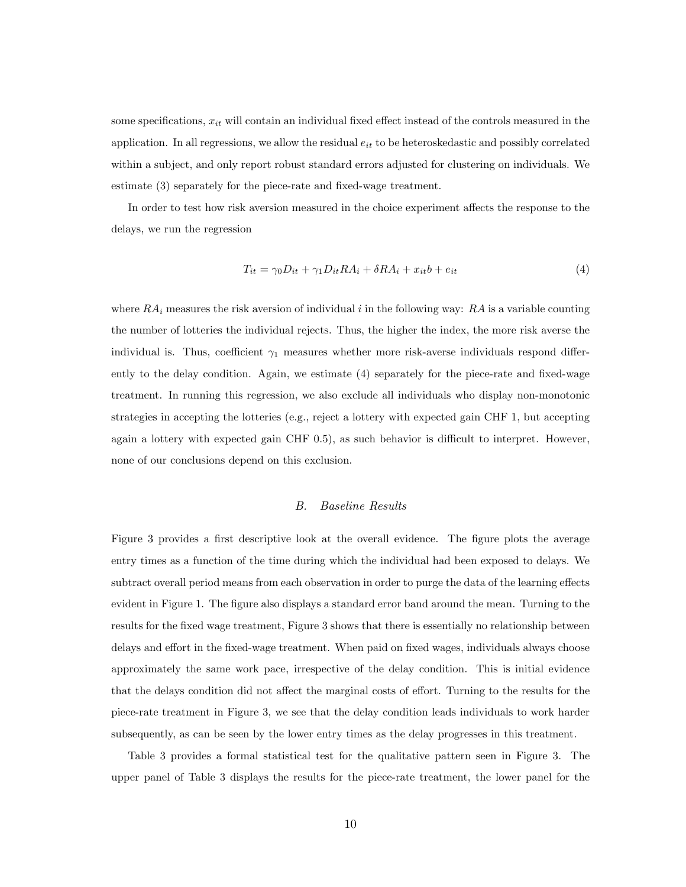some specifications,  $x_{it}$  will contain an individual fixed effect instead of the controls measured in the application. In all regressions, we allow the residual  $e_{it}$  to be heteroskedastic and possibly correlated within a subject, and only report robust standard errors adjusted for clustering on individuals. We estimate [\(3\)](#page-9-1) separately for the piece-rate and fixed-wage treatment.

In order to test how risk aversion measured in the choice experiment affects the response to the delays, we run the regression

<span id="page-10-0"></span>
$$
T_{it} = \gamma_0 D_{it} + \gamma_1 D_{it} RA_i + \delta R A_i + x_{it} b + e_{it}
$$
\n
$$
\tag{4}
$$

where  $RA_i$  measures the risk aversion of individual i in the following way:  $RA$  is a variable counting the number of lotteries the individual rejects. Thus, the higher the index, the more risk averse the individual is. Thus, coefficient  $\gamma_1$  measures whether more risk-averse individuals respond differently to the delay condition. Again, we estimate [\(4\)](#page-10-0) separately for the piece-rate and fixed-wage treatment. In running this regression, we also exclude all individuals who display non-monotonic strategies in accepting the lotteries (e.g., reject a lottery with expected gain CHF 1, but accepting again a lottery with expected gain CHF 0.5), as such behavior is difficult to interpret. However, none of our conclusions depend on this exclusion.

# B. Baseline Results

Figure [3](#page-25-1) provides a first descriptive look at the overall evidence. The figure plots the average entry times as a function of the time during which the individual had been exposed to delays. We subtract overall period means from each observation in order to purge the data of the learning effects evident in Figure [1.](#page-23-0) The figure also displays a standard error band around the mean. Turning to the results for the fixed wage treatment, Figure [3](#page-25-1) shows that there is essentially no relationship between delays and effort in the fixed-wage treatment. When paid on fixed wages, individuals always choose approximately the same work pace, irrespective of the delay condition. This is initial evidence that the delays condition did not affect the marginal costs of effort. Turning to the results for the piece-rate treatment in Figure [3,](#page-25-1) we see that the delay condition leads individuals to work harder subsequently, as can be seen by the lower entry times as the delay progresses in this treatment.

Table [3](#page-28-0) provides a formal statistical test for the qualitative pattern seen in Figure [3.](#page-25-1) The upper panel of Table [3](#page-28-0) displays the results for the piece-rate treatment, the lower panel for the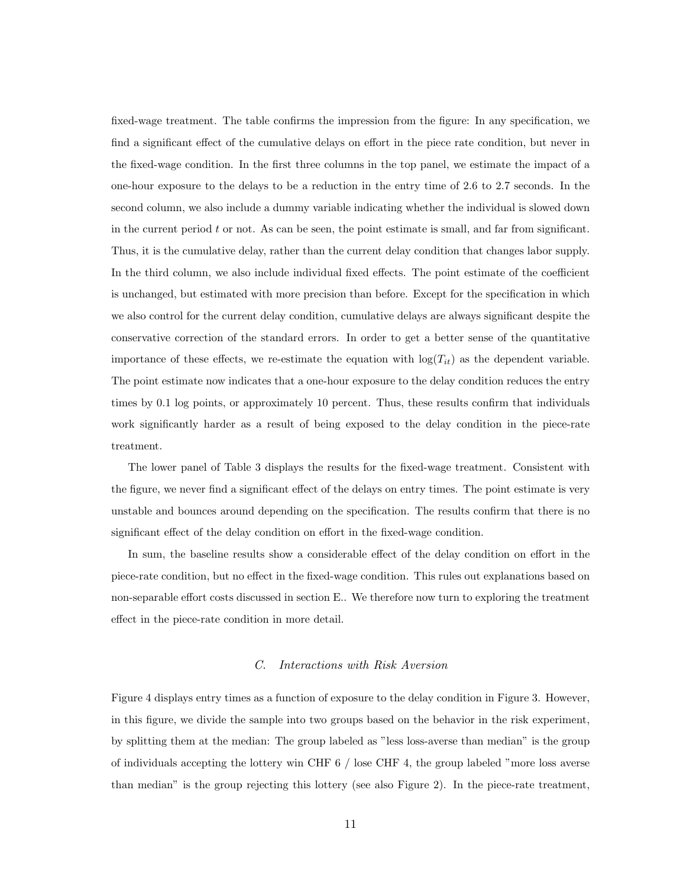fixed-wage treatment. The table confirms the impression from the figure: In any specification, we find a significant effect of the cumulative delays on effort in the piece rate condition, but never in the fixed-wage condition. In the first three columns in the top panel, we estimate the impact of a one-hour exposure to the delays to be a reduction in the entry time of 2.6 to 2.7 seconds. In the second column, we also include a dummy variable indicating whether the individual is slowed down in the current period  $t$  or not. As can be seen, the point estimate is small, and far from significant. Thus, it is the cumulative delay, rather than the current delay condition that changes labor supply. In the third column, we also include individual fixed effects. The point estimate of the coefficient is unchanged, but estimated with more precision than before. Except for the specification in which we also control for the current delay condition, cumulative delays are always significant despite the conservative correction of the standard errors. In order to get a better sense of the quantitative importance of these effects, we re-estimate the equation with  $log(T_{it})$  as the dependent variable. The point estimate now indicates that a one-hour exposure to the delay condition reduces the entry times by 0.1 log points, or approximately 10 percent. Thus, these results confirm that individuals work significantly harder as a result of being exposed to the delay condition in the piece-rate treatment.

The lower panel of Table [3](#page-28-0) displays the results for the fixed-wage treatment. Consistent with the figure, we never find a significant effect of the delays on entry times. The point estimate is very unstable and bounces around depending on the specification. The results confirm that there is no significant effect of the delay condition on effort in the fixed-wage condition.

In sum, the baseline results show a considerable effect of the delay condition on effort in the piece-rate condition, but no effect in the fixed-wage condition. This rules out explanations based on non-separable effort costs discussed in section [E..](#page-6-0) We therefore now turn to exploring the treatment effect in the piece-rate condition in more detail.

# C. Interactions with Risk Aversion

Figure [4](#page-26-0) displays entry times as a function of exposure to the delay condition in Figure [3.](#page-25-1) However, in this figure, we divide the sample into two groups based on the behavior in the risk experiment, by splitting them at the median: The group labeled as "less loss-averse than median" is the group of individuals accepting the lottery win CHF 6 / lose CHF 4, the group labeled "more loss averse than median" is the group rejecting this lottery (see also Figure [2\)](#page-24-1). In the piece-rate treatment,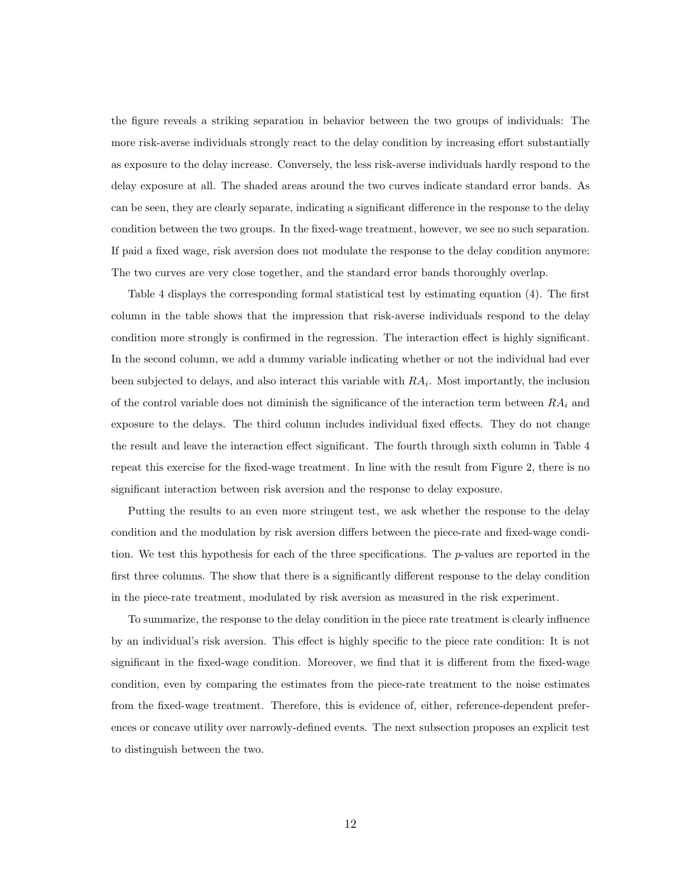the figure reveals a striking separation in behavior between the two groups of individuals: The more risk-averse individuals strongly react to the delay condition by increasing effort substantially as exposure to the delay increase. Conversely, the less risk-averse individuals hardly respond to the delay exposure at all. The shaded areas around the two curves indicate standard error bands. As can be seen, they are clearly separate, indicating a significant difference in the response to the delay condition between the two groups. In the fixed-wage treatment, however, we see no such separation. If paid a fixed wage, risk aversion does not modulate the response to the delay condition anymore: The two curves are very close together, and the standard error bands thoroughly overlap.

Table [4](#page-29-0) displays the corresponding formal statistical test by estimating equation [\(4\)](#page-10-0). The first column in the table shows that the impression that risk-averse individuals respond to the delay condition more strongly is confirmed in the regression. The interaction effect is highly significant. In the second column, we add a dummy variable indicating whether or not the individual had ever been subjected to delays, and also interact this variable with  $RA_i$ . Most importantly, the inclusion of the control variable does not diminish the significance of the interaction term between  $RA_i$  and exposure to the delays. The third column includes individual fixed effects. They do not change the result and leave the interaction effect significant. The fourth through sixth column in Table [4](#page-29-0) repeat this exercise for the fixed-wage treatment. In line with the result from Figure [2,](#page-24-1) there is no significant interaction between risk aversion and the response to delay exposure.

Putting the results to an even more stringent test, we ask whether the response to the delay condition and the modulation by risk aversion differs between the piece-rate and fixed-wage condition. We test this hypothesis for each of the three specifications. The p-values are reported in the first three columns. The show that there is a significantly different response to the delay condition in the piece-rate treatment, modulated by risk aversion as measured in the risk experiment.

To summarize, the response to the delay condition in the piece rate treatment is clearly influence by an individual's risk aversion. This effect is highly specific to the piece rate condition: It is not significant in the fixed-wage condition. Moreover, we find that it is different from the fixed-wage condition, even by comparing the estimates from the piece-rate treatment to the noise estimates from the fixed-wage treatment. Therefore, this is evidence of, either, reference-dependent preferences or concave utility over narrowly-defined events. The next subsection proposes an explicit test to distinguish between the two.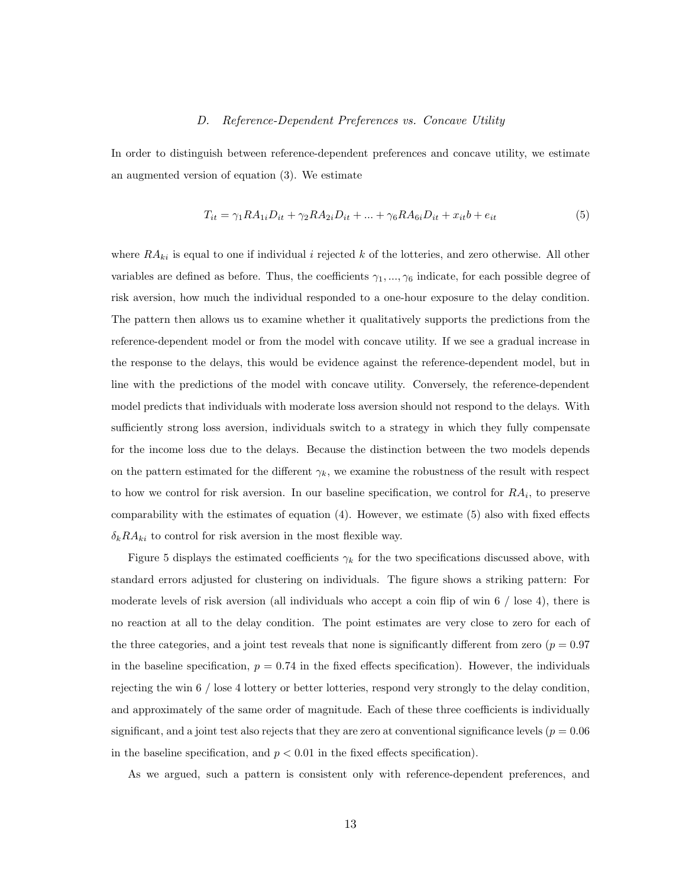#### D. Reference-Dependent Preferences vs. Concave Utility

In order to distinguish between reference-dependent preferences and concave utility, we estimate an augmented version of equation [\(3\)](#page-9-1). We estimate

<span id="page-13-0"></span>
$$
T_{it} = \gamma_1 RA_{1i} D_{it} + \gamma_2 RA_{2i} D_{it} + ... + \gamma_6 RA_{6i} D_{it} + x_{it} b + e_{it}
$$
\n(5)

where  $RA_{ki}$  is equal to one if individual i rejected k of the lotteries, and zero otherwise. All other variables are defined as before. Thus, the coefficients  $\gamma_1, ..., \gamma_6$  indicate, for each possible degree of risk aversion, how much the individual responded to a one-hour exposure to the delay condition. The pattern then allows us to examine whether it qualitatively supports the predictions from the reference-dependent model or from the model with concave utility. If we see a gradual increase in the response to the delays, this would be evidence against the reference-dependent model, but in line with the predictions of the model with concave utility. Conversely, the reference-dependent model predicts that individuals with moderate loss aversion should not respond to the delays. With sufficiently strong loss aversion, individuals switch to a strategy in which they fully compensate for the income loss due to the delays. Because the distinction between the two models depends on the pattern estimated for the different  $\gamma_k$ , we examine the robustness of the result with respect to how we control for risk aversion. In our baseline specification, we control for  $RA_i$ , to preserve comparability with the estimates of equation  $(4)$ . However, we estimate  $(5)$  also with fixed effects  $\delta_k R A_{ki}$  to control for risk aversion in the most flexible way.

Figure [5](#page-27-0) displays the estimated coefficients  $\gamma_k$  for the two specifications discussed above, with standard errors adjusted for clustering on individuals. The figure shows a striking pattern: For moderate levels of risk aversion (all individuals who accept a coin flip of win  $6/$  lose 4), there is no reaction at all to the delay condition. The point estimates are very close to zero for each of the three categories, and a joint test reveals that none is significantly different from zero  $(p = 0.97)$ in the baseline specification,  $p = 0.74$  in the fixed effects specification). However, the individuals rejecting the win 6 / lose 4 lottery or better lotteries, respond very strongly to the delay condition, and approximately of the same order of magnitude. Each of these three coefficients is individually significant, and a joint test also rejects that they are zero at conventional significance levels  $(p = 0.06$ in the baseline specification, and  $p < 0.01$  in the fixed effects specification).

As we argued, such a pattern is consistent only with reference-dependent preferences, and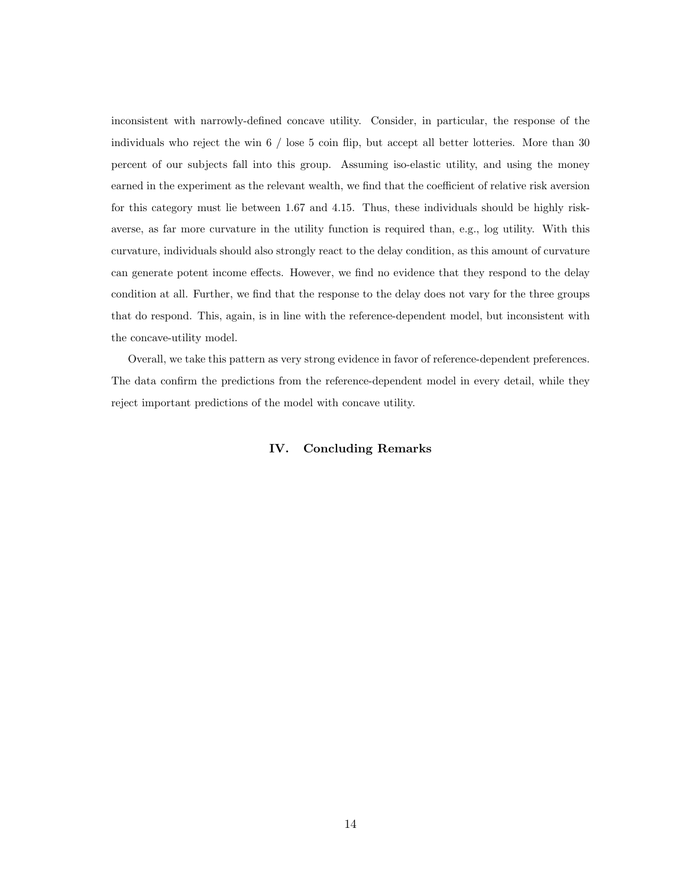inconsistent with narrowly-defined concave utility. Consider, in particular, the response of the individuals who reject the win 6 / lose 5 coin flip, but accept all better lotteries. More than 30 percent of our subjects fall into this group. Assuming iso-elastic utility, and using the money earned in the experiment as the relevant wealth, we find that the coefficient of relative risk aversion for this category must lie between 1.67 and 4.15. Thus, these individuals should be highly riskaverse, as far more curvature in the utility function is required than, e.g., log utility. With this curvature, individuals should also strongly react to the delay condition, as this amount of curvature can generate potent income effects. However, we find no evidence that they respond to the delay condition at all. Further, we find that the response to the delay does not vary for the three groups that do respond. This, again, is in line with the reference-dependent model, but inconsistent with the concave-utility model.

Overall, we take this pattern as very strong evidence in favor of reference-dependent preferences. The data confirm the predictions from the reference-dependent model in every detail, while they reject important predictions of the model with concave utility.

# IV. Concluding Remarks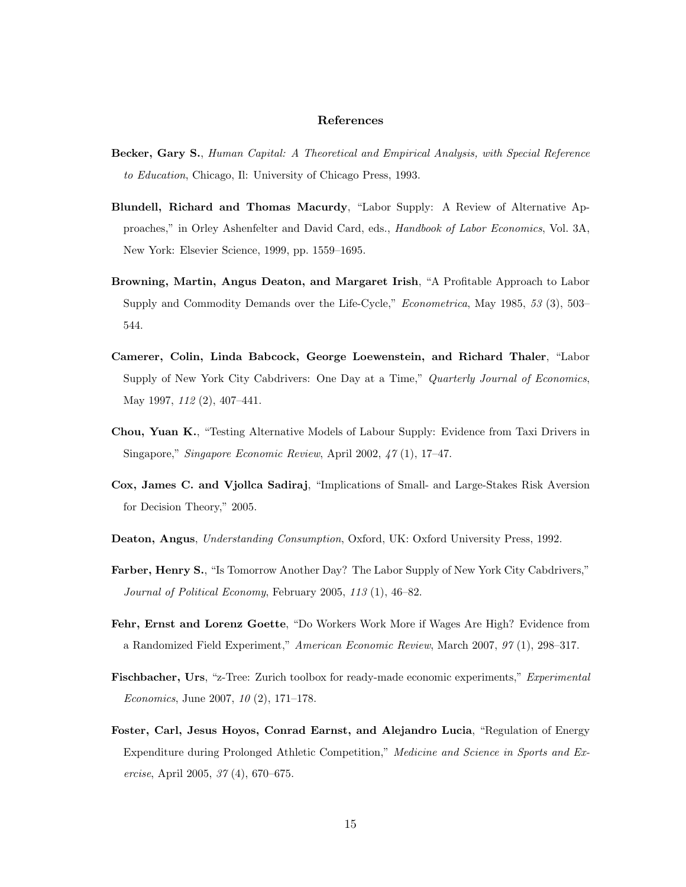#### References

- <span id="page-15-2"></span>Becker, Gary S., Human Capital: A Theoretical and Empirical Analysis, with Special Reference to Education, Chicago, Il: University of Chicago Press, 1993.
- <span id="page-15-1"></span>Blundell, Richard and Thomas Macurdy, "Labor Supply: A Review of Alternative Approaches," in Orley Ashenfelter and David Card, eds., Handbook of Labor Economics, Vol. 3A, New York: Elsevier Science, 1999, pp. 1559–1695.
- <span id="page-15-3"></span>Browning, Martin, Angus Deaton, and Margaret Irish, "A Profitable Approach to Labor Supply and Commodity Demands over the Life-Cycle," *Econometrica*, May 1985, 53 (3), 503– 544.
- <span id="page-15-5"></span>Camerer, Colin, Linda Babcock, George Loewenstein, and Richard Thaler, "Labor Supply of New York City Cabdrivers: One Day at a Time," Quarterly Journal of Economics, May 1997, 112 (2), 407–441.
- <span id="page-15-6"></span>Chou, Yuan K., "Testing Alternative Models of Labour Supply: Evidence from Taxi Drivers in Singapore," Singapore Economic Review, April 2002, 47 (1), 17–47.
- <span id="page-15-8"></span>Cox, James C. and Vjollca Sadiraj, "Implications of Small- and Large-Stakes Risk Aversion for Decision Theory," 2005.
- <span id="page-15-0"></span>Deaton, Angus, Understanding Consumption, Oxford, UK: Oxford University Press, 1992.
- <span id="page-15-7"></span>Farber, Henry S., "Is Tomorrow Another Day? The Labor Supply of New York City Cabdrivers," Journal of Political Economy, February 2005, 113 (1), 46–82.
- <span id="page-15-4"></span>Fehr, Ernst and Lorenz Goette, "Do Workers Work More if Wages Are High? Evidence from a Randomized Field Experiment," American Economic Review, March 2007, 97 (1), 298–317.
- <span id="page-15-9"></span>Fischbacher, Urs, "z-Tree: Zurich toolbox for ready-made economic experiments," Experimental Economics, June 2007, 10 (2), 171–178.
- <span id="page-15-10"></span>Foster, Carl, Jesus Hoyos, Conrad Earnst, and Alejandro Lucia, "Regulation of Energy Expenditure during Prolonged Athletic Competition," Medicine and Science in Sports and Exercise, April 2005, 37 (4), 670–675.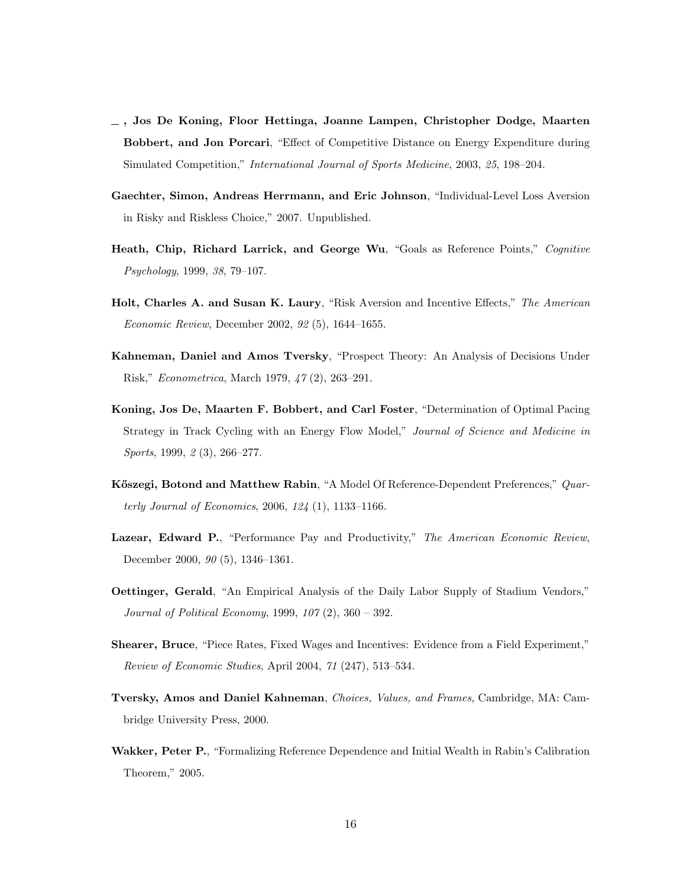- <span id="page-16-10"></span>, Jos De Koning, Floor Hettinga, Joanne Lampen, Christopher Dodge, Maarten Bobbert, and Jon Porcari, "Effect of Competitive Distance on Energy Expenditure during Simulated Competition," International Journal of Sports Medicine, 2003, 25, 198–204.
- <span id="page-16-6"></span>Gaechter, Simon, Andreas Herrmann, and Eric Johnson, "Individual-Level Loss Aversion in Risky and Riskless Choice," 2007. Unpublished.
- <span id="page-16-0"></span>Heath, Chip, Richard Larrick, and George Wu, "Goals as Reference Points," Cognitive Psychology, 1999, 38, 79–107.
- <span id="page-16-9"></span>Holt, Charles A. and Susan K. Laury, "Risk Aversion and Incentive Effects," The American Economic Review, December 2002, 92 (5), 1644–1655.
- <span id="page-16-1"></span>Kahneman, Daniel and Amos Tversky, "Prospect Theory: An Analysis of Decisions Under Risk," Econometrica, March 1979, 47 (2), 263–291.
- <span id="page-16-11"></span>Koning, Jos De, Maarten F. Bobbert, and Carl Foster, "Determination of Optimal Pacing Strategy in Track Cycling with an Energy Flow Model," Journal of Science and Medicine in Sports, 1999, 2(3), 266-277.
- <span id="page-16-3"></span>Köszegi, Botond and Matthew Rabin, "A Model Of Reference-Dependent Preferences," Quarterly Journal of Economics, 2006, 124 (1), 1133–1166.
- <span id="page-16-7"></span>Lazear, Edward P., "Performance Pay and Productivity," The American Economic Review, December 2000, 90 (5), 1346–1361.
- <span id="page-16-4"></span>Oettinger, Gerald, "An Empirical Analysis of the Daily Labor Supply of Stadium Vendors," Journal of Political Economy, 1999, 107 (2), 360 – 392.
- <span id="page-16-8"></span>Shearer, Bruce, "Piece Rates, Fixed Wages and Incentives: Evidence from a Field Experiment," Review of Economic Studies, April 2004, 71 (247), 513–534.
- <span id="page-16-2"></span>Tversky, Amos and Daniel Kahneman, Choices, Values, and Frames, Cambridge, MA: Cambridge University Press, 2000.
- <span id="page-16-5"></span>Wakker, Peter P., "Formalizing Reference Dependence and Initial Wealth in Rabin's Calibration Theorem," 2005.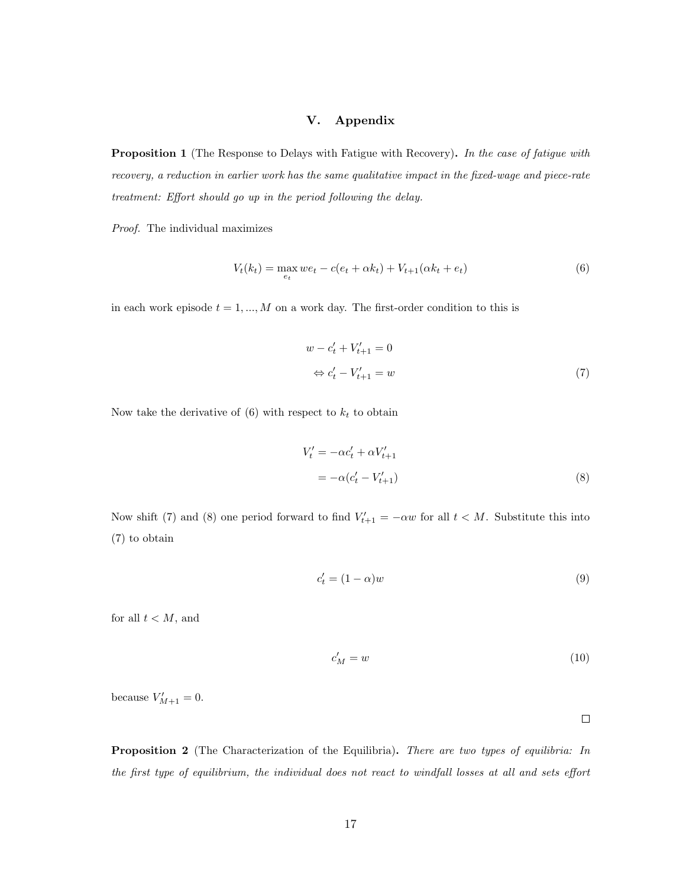# V. Appendix

**Proposition 1** (The Response to Delays with Fatigue with Recovery). In the case of fatigue with recovery, a reduction in earlier work has the same qualitative impact in the fixed-wage and piece-rate treatment: Effort should go up in the period following the delay.

Proof. The individual maximizes

$$
V_t(k_t) = \max_{e_t} we_t - c(e_t + \alpha k_t) + V_{t+1}(\alpha k_t + e_t)
$$
\n(6)

in each work episode  $t = 1, ..., M$  on a work day. The first-order condition to this is

<span id="page-17-2"></span><span id="page-17-1"></span>
$$
w - c'_t + V'_{t+1} = 0
$$
  

$$
\Leftrightarrow c'_t - V'_{t+1} = w
$$
 (7)

Now take the derivative of  $(6)$  with respect to  $k_t$  to obtain

$$
V'_{t} = -\alpha c'_{t} + \alpha V'_{t+1}
$$
  
=  $-\alpha (c'_{t} - V'_{t+1})$  (8)

Now shift [\(7\)](#page-17-2) and [\(8\)](#page-17-3) one period forward to find  $V'_{t+1} = -\alpha w$  for all  $t < M$ . Substitute this into [\(7\)](#page-17-2) to obtain

$$
c_t' = (1 - \alpha)w \tag{9}
$$

for all  $t < M$ , and

$$
c_M' = w \tag{10}
$$

because  $V'_{M+1} = 0$ .

<span id="page-17-3"></span> $\Box$ 

<span id="page-17-0"></span>Proposition 2 (The Characterization of the Equilibria). There are two types of equilibria: In the first type of equilibrium, the individual does not react to windfall losses at all and sets effort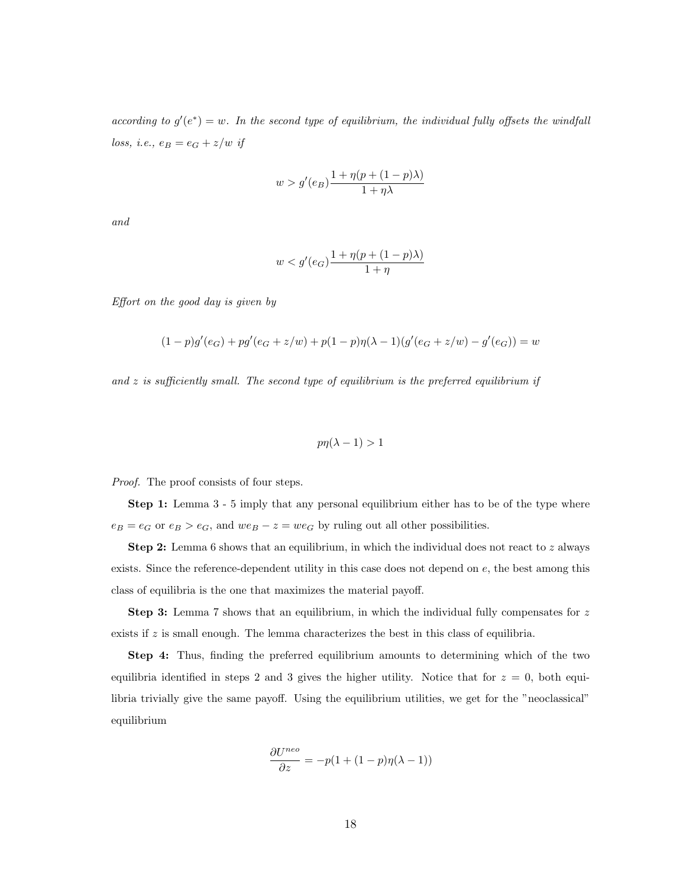according to  $g'(e^*) = w$ . In the second type of equilibrium, the individual fully offsets the windfall loss, i.e.,  $e_B = e_G + z/w$  if

$$
w > g'(e_B) \frac{1 + \eta(p + (1 - p)\lambda)}{1 + \eta \lambda}
$$

and

$$
w < g'(e_G) \frac{1 + \eta(p + (1 - p)\lambda)}{1 + \eta}
$$

Effort on the good day is given by

$$
(1-p)g'(e_G) + pg'(e_G + z/w) + p(1-p)\eta(\lambda - 1)(g'(e_G + z/w) - g'(e_G)) = w
$$

and  $z$  is sufficiently small. The second type of equilibrium is the preferred equilibrium if

$$
p\eta(\lambda - 1) > 1
$$

Proof. The proof consists of four steps.

Step 1: Lemma [3](#page-19-0) - [5](#page-20-0) imply that any personal equilibrium either has to be of the type where  $e_B = e_G$  or  $e_B > e_G$ , and  $we_B - z = we_G$  by ruling out all other possibilities.

**Step 2:** Lemma [6](#page-20-1) shows that an equilibrium, in which the individual does not react to  $z$  always exists. Since the reference-dependent utility in this case does not depend on e, the best among this class of equilibria is the one that maximizes the material payoff.

**Step 3:** Lemma [7](#page-21-0) shows that an equilibrium, in which the individual fully compensates for  $z$ exists if  $z$  is small enough. The lemma characterizes the best in this class of equilibria.

Step 4: Thus, finding the preferred equilibrium amounts to determining which of the two equilibria identified in steps 2 and 3 gives the higher utility. Notice that for  $z = 0$ , both equilibria trivially give the same payoff. Using the equilibrium utilities, we get for the "neoclassical" equilibrium

$$
\frac{\partial U^{neo}}{\partial z} = -p(1 + (1 - p)\eta(\lambda - 1))
$$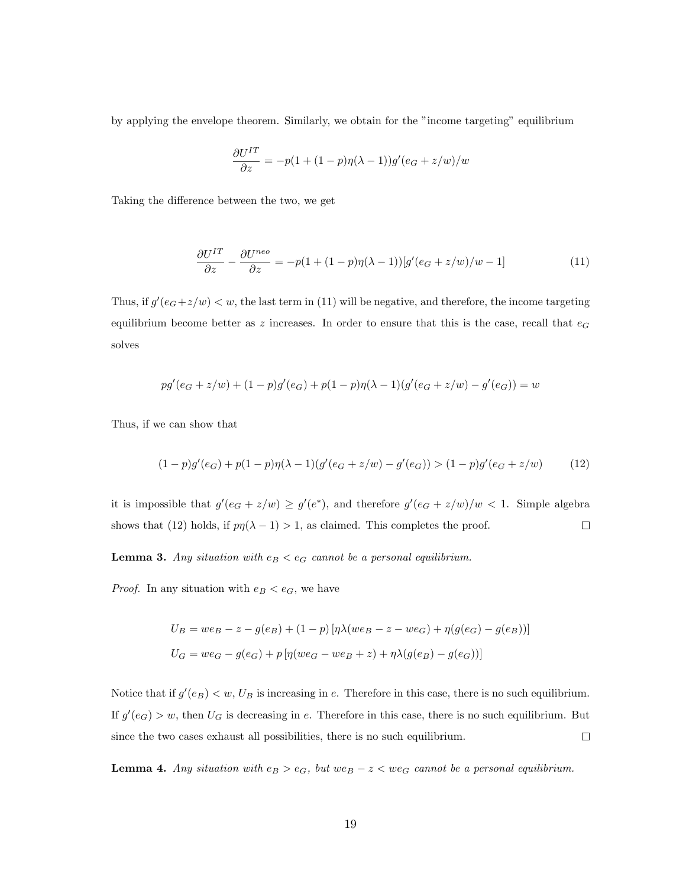by applying the envelope theorem. Similarly, we obtain for the "income targeting" equilibrium

<span id="page-19-1"></span>
$$
\frac{\partial U^{IT}}{\partial z} = -p(1 + (1 - p)\eta(\lambda - 1))g'(e_G + z/w)/w
$$

Taking the difference between the two, we get

$$
\frac{\partial U^{IT}}{\partial z} - \frac{\partial U^{neo}}{\partial z} = -p(1 + (1 - p)\eta(\lambda - 1))[g'(e_G + z/w)/w - 1]
$$
\n(11)

Thus, if  $g'(e_G + z/w) < w$ , the last term in [\(11\)](#page-19-1) will be negative, and therefore, the income targeting equilibrium become better as z increases. In order to ensure that this is the case, recall that  $e_G$ solves

$$
pg'(e_G + z/w) + (1 - p)g'(e_G) + p(1 - p)\eta(\lambda - 1)(g'(e_G + z/w) - g'(e_G)) = w
$$

Thus, if we can show that

<span id="page-19-2"></span>
$$
(1-p)g'(e_G) + p(1-p)\eta(\lambda - 1)(g'(e_G + z/w) - g'(e_G)) > (1-p)g'(e_G + z/w)
$$
 (12)

it is impossible that  $g'(e_G + z/w) \ge g'(e^*)$ , and therefore  $g'(e_G + z/w)/w < 1$ . Simple algebra shows that [\(12\)](#page-19-2) holds, if  $p\eta(\lambda - 1) > 1$ , as claimed. This completes the proof.  $\Box$ 

<span id="page-19-0"></span>**Lemma 3.** Any situation with  $e_B < e_G$  cannot be a personal equilibrium.

*Proof.* In any situation with  $e_B < e_G$ , we have

$$
U_B = we_B - z - g(e_B) + (1 - p) [\eta \lambda (we_B - z - we_G) + \eta (g(e_G) - g(e_B))]
$$
  

$$
U_G = we_G - g(e_G) + p [\eta (we_G - we_B + z) + \eta \lambda (g(e_B) - g(e_G))]
$$

Notice that if  $g'(e_B) < w$ ,  $U_B$  is increasing in e. Therefore in this case, there is no such equilibrium. If  $g'(e_G) > w$ , then  $U_G$  is decreasing in e. Therefore in this case, there is no such equilibrium. But since the two cases exhaust all possibilities, there is no such equilibrium.  $\Box$ 

**Lemma 4.** Any situation with  $e_B > e_G$ , but  $we_B - z < we_G$  cannot be a personal equilibrium.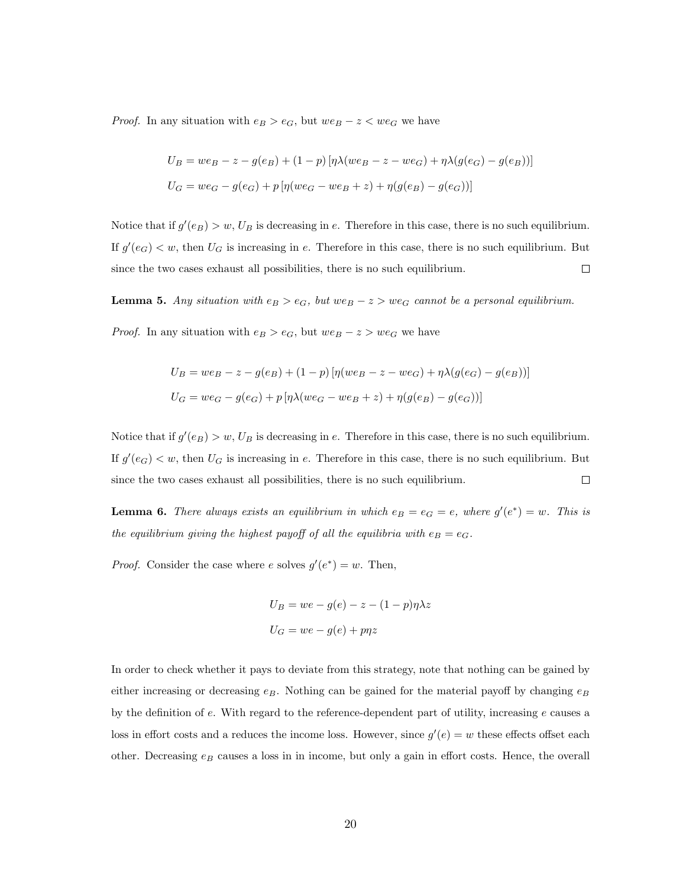*Proof.* In any situation with  $e_B > e_G$ , but  $we_B - z < we_G$  we have

$$
U_B = we_B - z - g(e_B) + (1 - p) [\eta \lambda (we_B - z - we_G) + \eta \lambda (g(e_G) - g(e_B))]
$$
  

$$
U_G = we_G - g(e_G) + p [\eta (we_G - we_B + z) + \eta (g(e_B) - g(e_G))]
$$

Notice that if  $g'(e_B) > w$ ,  $U_B$  is decreasing in e. Therefore in this case, there is no such equilibrium. If  $g'(e_G) < w$ , then  $U_G$  is increasing in e. Therefore in this case, there is no such equilibrium. But since the two cases exhaust all possibilities, there is no such equilibrium.  $\Box$ 

<span id="page-20-0"></span>**Lemma 5.** Any situation with  $e_B > e_G$ , but  $we_B - z > we_G$  cannot be a personal equilibrium.

*Proof.* In any situation with  $e_B > e_G$ , but  $we_B - z > we_G$  we have

$$
U_B = we_B - z - g(e_B) + (1 - p) [\eta(we_B - z - we_G) + \eta \lambda(g(e_G) - g(e_B))]
$$
  

$$
U_G = we_G - g(e_G) + p [\eta \lambda(we_G - we_B + z) + \eta(g(e_B) - g(e_G))]
$$

Notice that if  $g'(e_B) > w$ ,  $U_B$  is decreasing in e. Therefore in this case, there is no such equilibrium. If  $g'(e_G) < w$ , then  $U_G$  is increasing in e. Therefore in this case, there is no such equilibrium. But  $\Box$ since the two cases exhaust all possibilities, there is no such equilibrium.

<span id="page-20-1"></span>**Lemma 6.** There always exists an equilibrium in which  $e_B = e_G = e$ , where  $g'(e^*) = w$ . This is the equilibrium giving the highest payoff of all the equilibria with  $e_B = e_G$ .

*Proof.* Consider the case where e solves  $g'(e^*) = w$ . Then,

$$
U_B = we - g(e) - z - (1 - p)\eta\lambda z
$$
  

$$
U_G = we - g(e) + p\eta z
$$

In order to check whether it pays to deviate from this strategy, note that nothing can be gained by either increasing or decreasing  $e_B$ . Nothing can be gained for the material payoff by changing  $e_B$ by the definition of e. With regard to the reference-dependent part of utility, increasing e causes a loss in effort costs and a reduces the income loss. However, since  $g'(e) = w$  these effects offset each other. Decreasing  $e_B$  causes a loss in in income, but only a gain in effort costs. Hence, the overall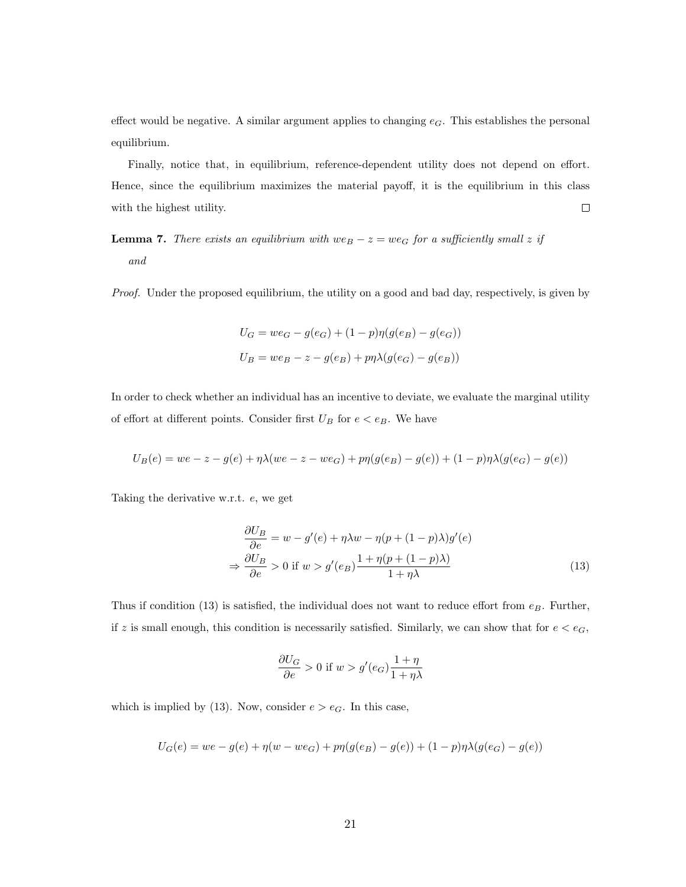effect would be negative. A similar argument applies to changing  $e_G$ . This establishes the personal equilibrium.

Finally, notice that, in equilibrium, reference-dependent utility does not depend on effort. Hence, since the equilibrium maximizes the material payoff, it is the equilibrium in this class with the highest utility.  $\Box$ 

<span id="page-21-0"></span>**Lemma 7.** There exists an equilibrium with  $we_B - z = we_G$  for a sufficiently small z if and

Proof. Under the proposed equilibrium, the utility on a good and bad day, respectively, is given by

$$
U_G = we_G - g(e_G) + (1 - p)\eta(g(e_B) - g(e_G))
$$
  

$$
U_B = we_B - z - g(e_B) + p\eta\lambda(g(e_G) - g(e_B))
$$

In order to check whether an individual has an incentive to deviate, we evaluate the marginal utility of effort at different points. Consider first  $U_B$  for  $e < e_B$ . We have

$$
U_B(e) = we-z-g(e)+\eta\lambda (we-z-we_G)+p\eta(g(e_B)-g(e))+(1-p)\eta\lambda(g(e_G)-g(e))
$$

Taking the derivative w.r.t. e, we get

$$
\frac{\partial U_B}{\partial e} = w - g'(e) + \eta \lambda w - \eta (p + (1 - p)\lambda) g'(e)
$$

$$
\Rightarrow \frac{\partial U_B}{\partial e} > 0 \text{ if } w > g'(e_B) \frac{1 + \eta (p + (1 - p)\lambda)}{1 + \eta \lambda} \tag{13}
$$

Thus if condition [\(13\)](#page-21-1) is satisfied, the individual does not want to reduce effort from  $e_B$ . Further, if z is small enough, this condition is necessarily satisfied. Similarly, we can show that for  $e < e_G$ ,

<span id="page-21-1"></span>
$$
\frac{\partial U_G}{\partial e} > 0 \text{ if } w > g'(e_G) \frac{1 + \eta}{1 + \eta \lambda}
$$

which is implied by [\(13\)](#page-21-1). Now, consider  $e > e_G$ . In this case,

$$
U_G(e) = we - g(e) + \eta(w - we_G) + p\eta(g(e_B) - g(e)) + (1 - p)\eta\lambda(g(e_G) - g(e))
$$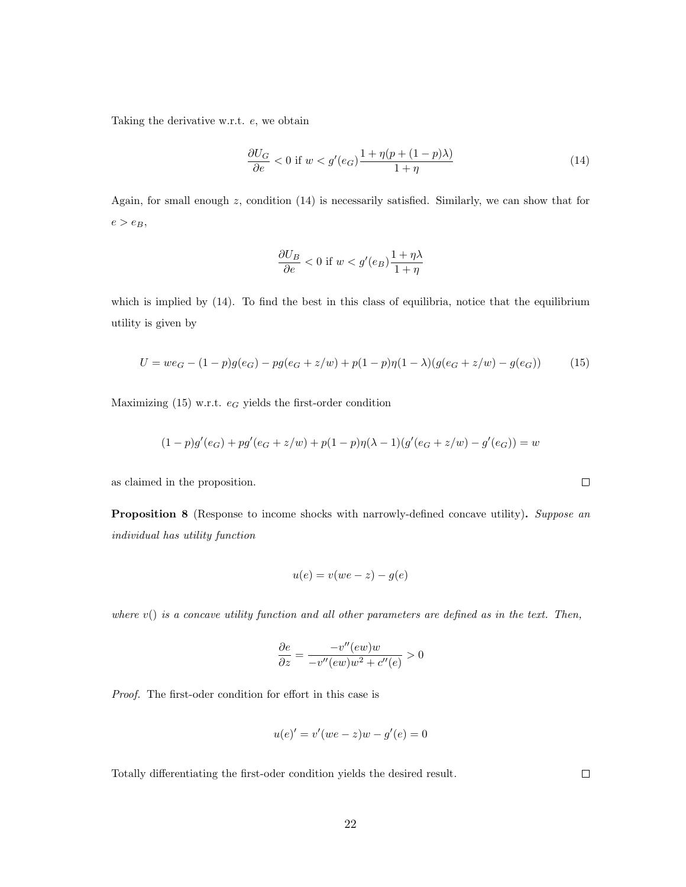Taking the derivative w.r.t. e, we obtain

$$
\frac{\partial U_G}{\partial e} < 0 \text{ if } w < g'(e_G) \frac{1 + \eta(p + (1 - p)\lambda)}{1 + \eta} \tag{14}
$$

Again, for small enough  $z$ , condition  $(14)$  is necessarily satisfied. Similarly, we can show that for  $e > e_B$ ,

<span id="page-22-1"></span>
$$
\frac{\partial U_B}{\partial e} < 0 \text{ if } w < g'(e_B) \frac{1 + \eta \lambda}{1 + \eta}
$$

which is implied by  $(14)$ . To find the best in this class of equilibria, notice that the equilibrium utility is given by

$$
U = we_G - (1 - p)g(e_G) - pg(e_G + z/w) + p(1 - p)\eta(1 - \lambda)(g(e_G + z/w) - g(e_G))
$$
\n(15)

Maximizing [\(15\)](#page-22-2) w.r.t.  $e_G$  yields the first-order condition

$$
(1-p)g'(e_G) + pg'(e_G + z/w) + p(1-p)\eta(\lambda - 1)(g'(e_G + z/w) - g'(e_G)) = w
$$

as claimed in the proposition.

<span id="page-22-0"></span>**Proposition 8** (Response to income shocks with narrowly-defined concave utility). Suppose an individual has utility function

$$
u(e) = v(we - z) - g(e)
$$

where  $v()$  is a concave utility function and all other parameters are defined as in the text. Then,

$$
\frac{\partial e}{\partial z} = \frac{-v''(ew)w}{-v''(ew)w^2 + c''(e)} > 0
$$

Proof. The first-oder condition for effort in this case is

$$
u(e)' = v'(we - z)w - g'(e) = 0
$$

Totally differentiating the first-oder condition yields the desired result.

 $\Box$ 

<span id="page-22-2"></span> $\Box$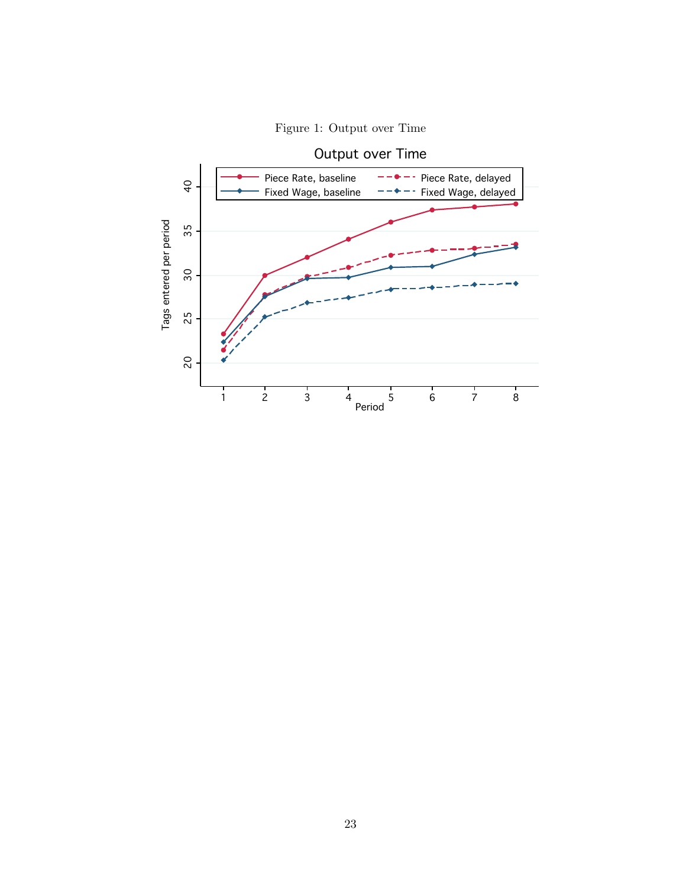

<span id="page-23-0"></span>Figure 1: Output over Time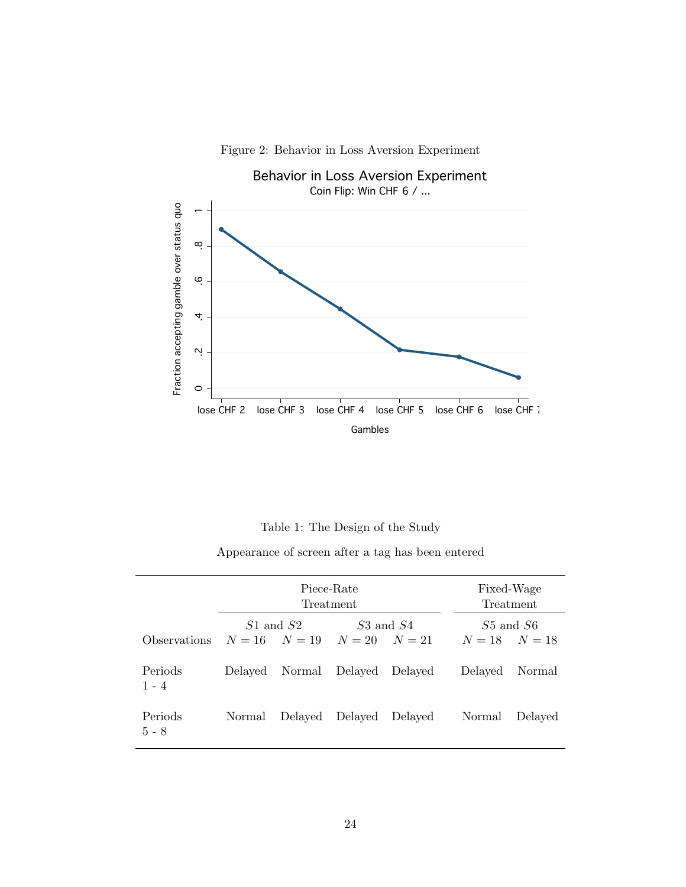<span id="page-24-1"></span>

Figure 2: Behavior in Loss Aversion Experiment

<span id="page-24-0"></span>

|  | Table 1: The Design of the Study |  |  |
|--|----------------------------------|--|--|
|  |                                  |  |  |

Appearance of screen after a tag has been entered

|                            | Piece-Rate<br>Treatment |               |                                     |               |         | Fixed-Wage<br>Treatment |                   |  |
|----------------------------|-------------------------|---------------|-------------------------------------|---------------|---------|-------------------------|-------------------|--|
| <i><b>Observations</b></i> |                         | $S1$ and $S2$ | $N = 16$ $N = 19$ $N = 20$ $N = 21$ | $S3$ and $S4$ |         | $S5$ and $S6$           | $N = 18$ $N = 18$ |  |
| Periods<br>$1 - 4$         | Delayed                 | Normal        | Delayed                             | Delayed       | Delayed |                         | Normal            |  |
| Periods<br>$5 - 8$         | Normal                  | Delayed       | Delayed                             | Delayed       | Normal  |                         | Delayed           |  |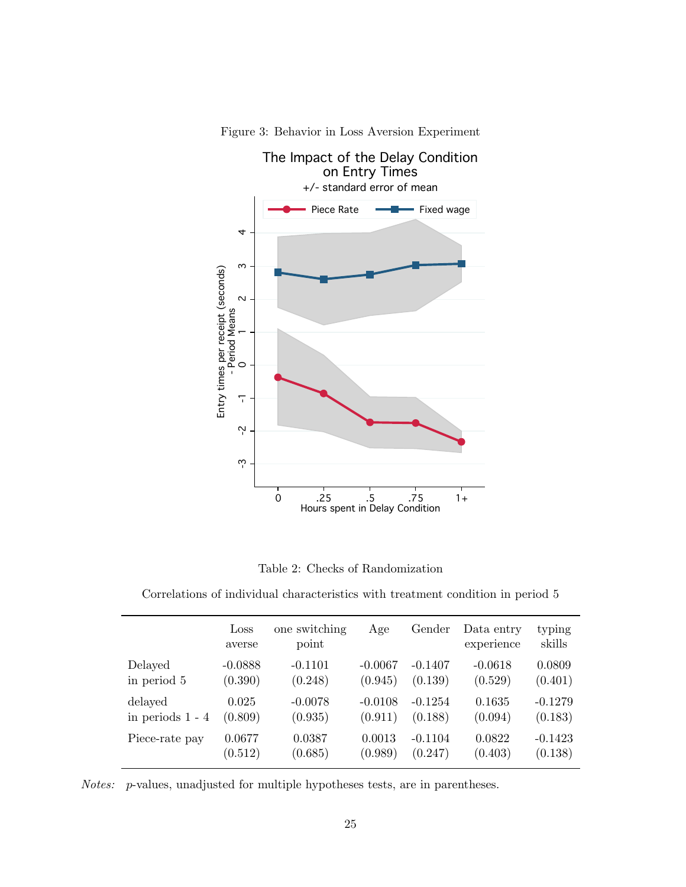

<span id="page-25-1"></span>Figure 3: Behavior in Loss Aversion Experiment

<span id="page-25-0"></span>Table 2: Checks of Randomization

Correlations of individual characteristics with treatment condition in period 5

|                    | Loss<br>averse | one switching<br>point | Age       | Gender    | Data entry<br>experience | typing<br>skills |
|--------------------|----------------|------------------------|-----------|-----------|--------------------------|------------------|
| Delayed            | $-0.0888$      | $-0.1101$              | $-0.0067$ | $-0.1407$ | $-0.0618$                | 0.0809           |
| in period 5        | (0.390)        | (0.248)                | (0.945)   | (0.139)   | (0.529)                  | (0.401)          |
| delayed            | 0.025          | $-0.0078$              | $-0.0108$ | $-0.1254$ | 0.1635                   | $-0.1279$        |
| in periods $1 - 4$ | (0.809)        | (0.935)                | (0.911)   | (0.188)   | (0.094)                  | (0.183)          |
| Piece-rate pay     | 0.0677         | 0.0387                 | 0.0013    | $-0.1104$ | 0.0822                   | $-0.1423$        |
|                    | (0.512)        | (0.685)                | (0.989)   | (0.247)   | (0.403)                  | (0.138)          |

Notes: p-values, unadjusted for multiple hypotheses tests, are in parentheses.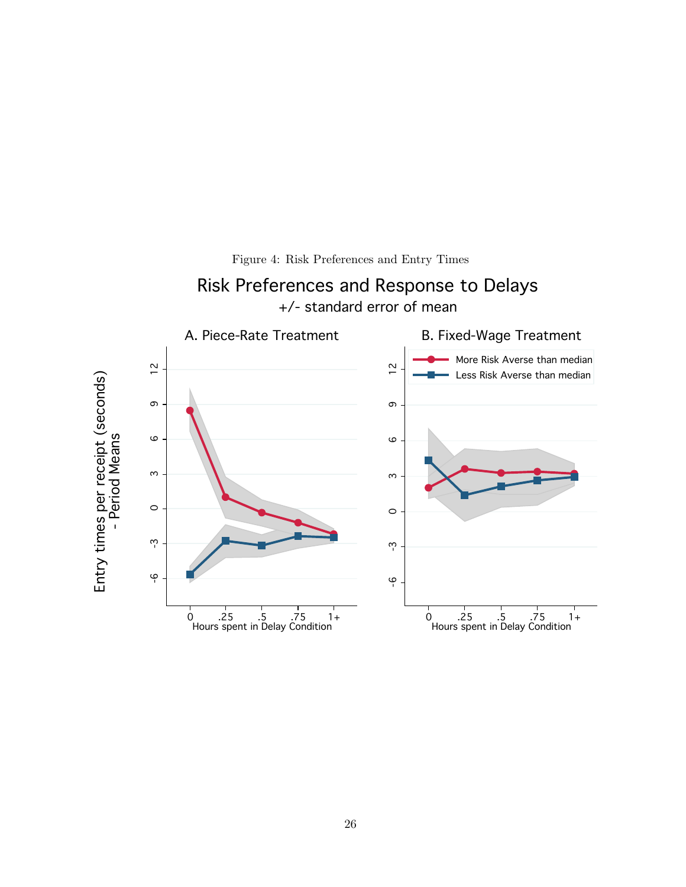<span id="page-26-0"></span>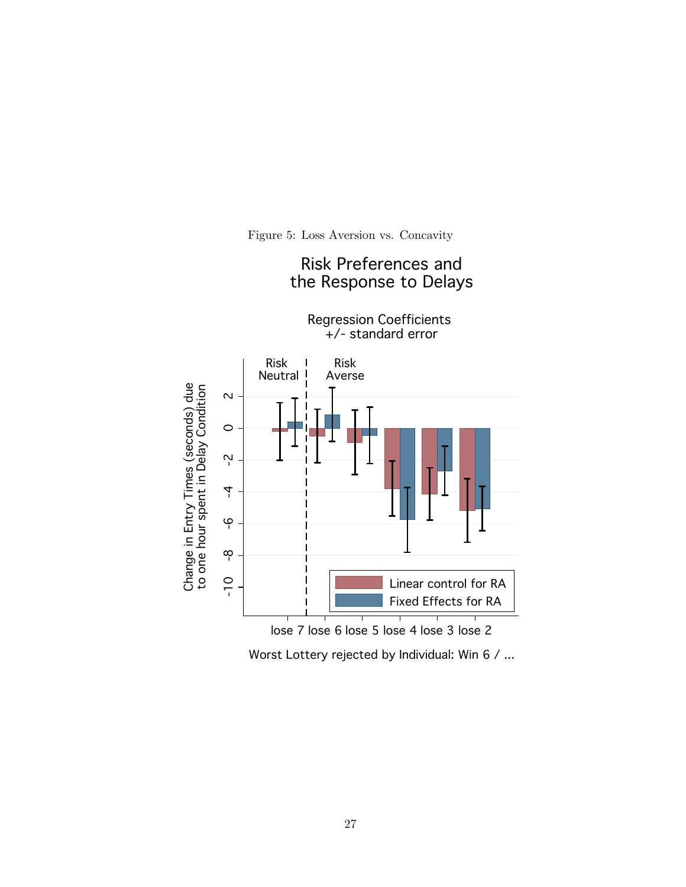Figure 5: Loss Aversion vs. Concavity

<span id="page-27-0"></span>

Worst Lottery rejected by Individual: Win 6 / ...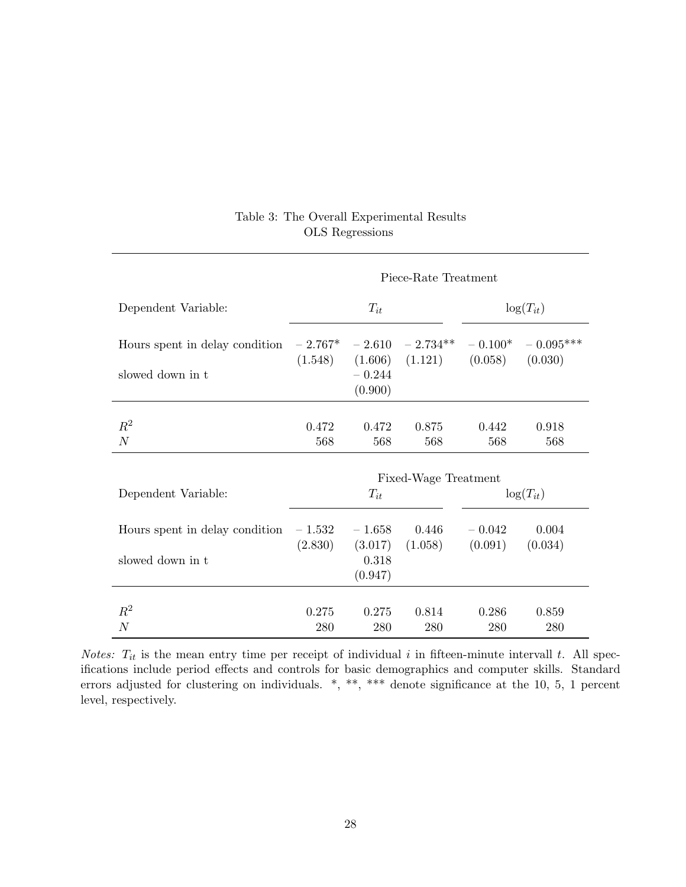|                                                                                    | Piece-Rate Treatment             |                                         |                                                   |                     |                     |  |
|------------------------------------------------------------------------------------|----------------------------------|-----------------------------------------|---------------------------------------------------|---------------------|---------------------|--|
| Dependent Variable:                                                                | $T_{it}$                         |                                         |                                                   | $\log(T_{it})$      |                     |  |
| Hours spent in delay condition $-2.767^* - 2.610 - 2.734^{**}$<br>slowed down in t |                                  | $-0.244$<br>(0.900)                     | $(1.548)$ $(1.606)$ $(1.121)$ $(0.058)$ $(0.030)$ |                     | $-0.100* -0.095***$ |  |
| $R^2$<br>$\overline{N}$                                                            | 0.472<br>568                     | 0.472<br>568                            | 0.875<br>568                                      | 0.442<br>568        | 0.918<br>568        |  |
| Dependent Variable:                                                                | Fixed-Wage Treatment<br>$T_{it}$ |                                         |                                                   | $\log(T_{it})$      |                     |  |
| Hours spent in delay condition<br>slowed down in t                                 | $-1.532$ $-1.658$                | $(2.830)$ $(3.017)$<br>0.318<br>(0.947) | 0.446<br>(1.058)                                  | $-0.042$<br>(0.091) | 0.004<br>(0.034)    |  |
| $R^2$<br>$\overline{N}$                                                            | 0.275<br>280                     | 0.275<br>280                            | 0.814<br>280                                      | 0.286<br>280        | 0.859<br>280        |  |

# <span id="page-28-0"></span>Table 3: The Overall Experimental Results OLS Regressions

Notes:  $T_{it}$  is the mean entry time per receipt of individual i in fifteen-minute intervall t. All specifications include period effects and controls for basic demographics and computer skills. Standard errors adjusted for clustering on individuals. \*, \*\*, \*\*\* denote significance at the 10, 5, 1 percent level, respectively.